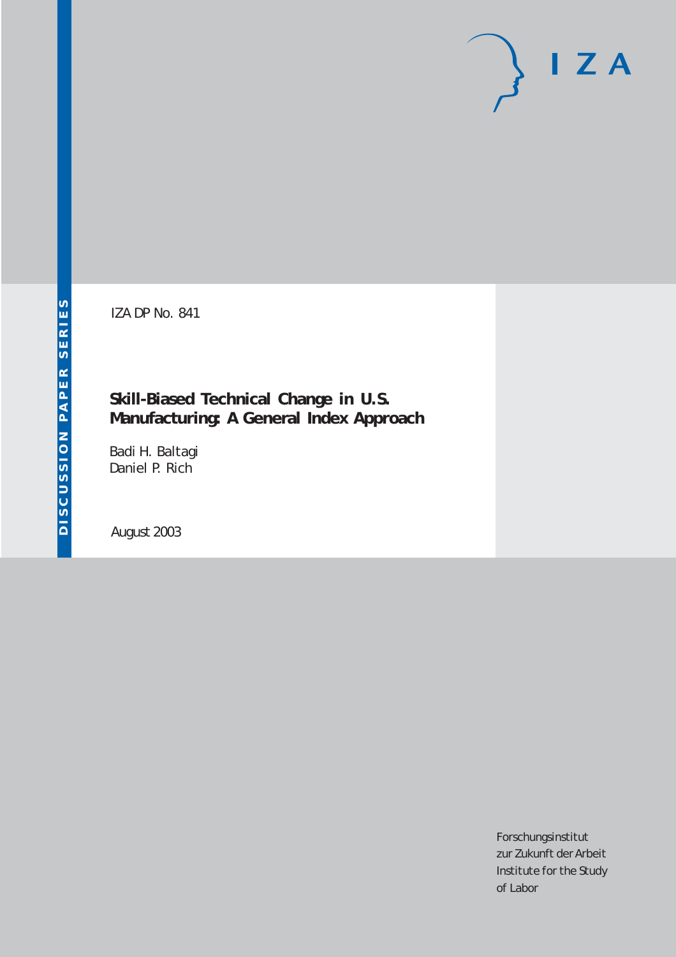# $I Z A$

IZA DP No. 841

# **Skill-Biased Technical Change in U.S. Manufacturing: A General Index Approach**

Badi H. Baltagi Daniel P. Rich

August 2003

Forschungsinstitut zur Zukunft der Arbeit Institute for the Study of Labor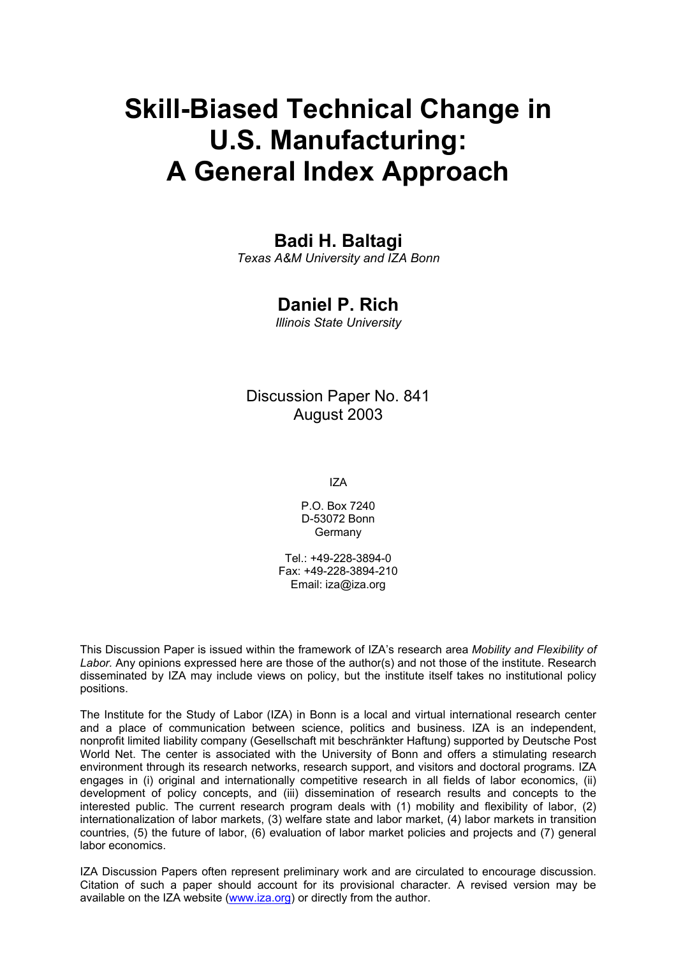# **Skill-Biased Technical Change in U.S. Manufacturing: A General Index Approach**

# **Badi H. Baltagi**

*Texas A&M University and IZA Bonn* 

# **Daniel P. Rich**

*Illinois State University* 

## Discussion Paper No. 841 August 2003

IZA

P.O. Box 7240 D-53072 Bonn Germany

Tel.: +49-228-3894-0 Fax: +49-228-3894-210 Email: [iza@iza.org](mailto:iza@iza.org)

This Discussion Paper is issued within the framework of IZA's research area *Mobility and Flexibility of Labor.* Any opinions expressed here are those of the author(s) and not those of the institute. Research disseminated by IZA may include views on policy, but the institute itself takes no institutional policy positions.

The Institute for the Study of Labor (IZA) in Bonn is a local and virtual international research center and a place of communication between science, politics and business. IZA is an independent, nonprofit limited liability company (Gesellschaft mit beschränkter Haftung) supported by Deutsche Post World Net. The center is associated with the University of Bonn and offers a stimulating research environment through its research networks, research support, and visitors and doctoral programs. IZA engages in (i) original and internationally competitive research in all fields of labor economics, (ii) development of policy concepts, and (iii) dissemination of research results and concepts to the interested public. The current research program deals with (1) mobility and flexibility of labor, (2) internationalization of labor markets, (3) welfare state and labor market, (4) labor markets in transition countries, (5) the future of labor, (6) evaluation of labor market policies and projects and (7) general labor economics.

IZA Discussion Papers often represent preliminary work and are circulated to encourage discussion. Citation of such a paper should account for its provisional character. A revised version may be available on the IZA website ([www.iza.org](http://www.iza.org/)) or directly from the author.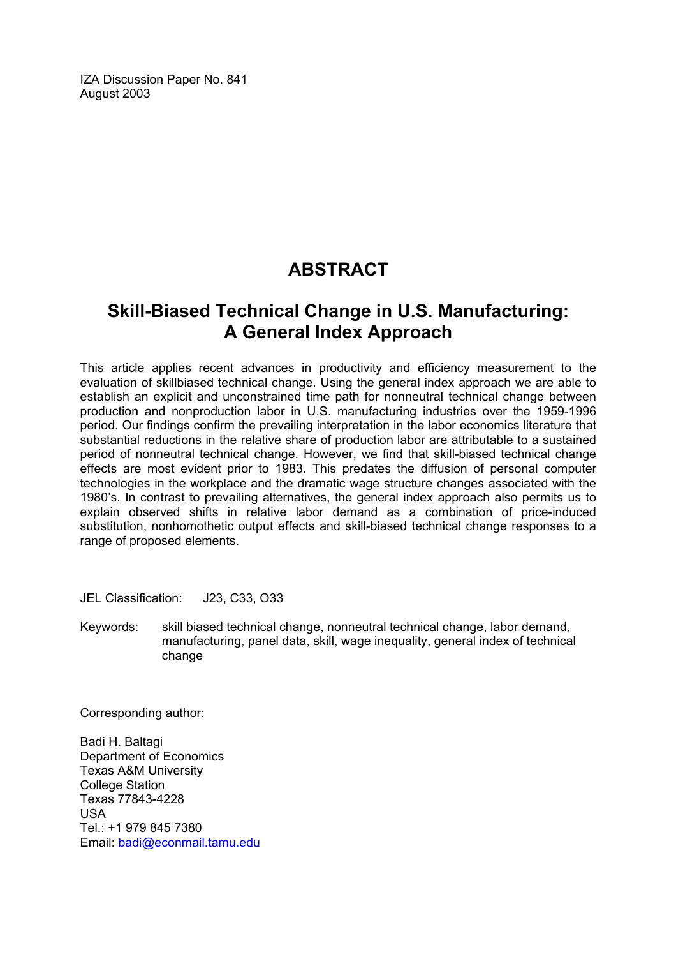IZA Discussion Paper No. 841 August 2003

# **ABSTRACT**

# **Skill-Biased Technical Change in U.S. Manufacturing: A General Index Approach**

This article applies recent advances in productivity and efficiency measurement to the evaluation of skillbiased technical change. Using the general index approach we are able to establish an explicit and unconstrained time path for nonneutral technical change between production and nonproduction labor in U.S. manufacturing industries over the 1959-1996 period. Our findings confirm the prevailing interpretation in the labor economics literature that substantial reductions in the relative share of production labor are attributable to a sustained period of nonneutral technical change. However, we find that skill-biased technical change effects are most evident prior to 1983. This predates the diffusion of personal computer technologies in the workplace and the dramatic wage structure changes associated with the 1980's. In contrast to prevailing alternatives, the general index approach also permits us to explain observed shifts in relative labor demand as a combination of price-induced substitution, nonhomothetic output effects and skill-biased technical change responses to a range of proposed elements.

JEL Classification: J23, C33, O33

Keywords: skill biased technical change, nonneutral technical change, labor demand, manufacturing, panel data, skill, wage inequality, general index of technical change

Corresponding author:

Badi H. Baltagi Department of Economics Texas A&M University College Station Texas 77843-4228 USA Tel.: +1 979 845 7380 Email: [badi@econmail.tamu.edu](mailto:badi@econmail.tamu.edu)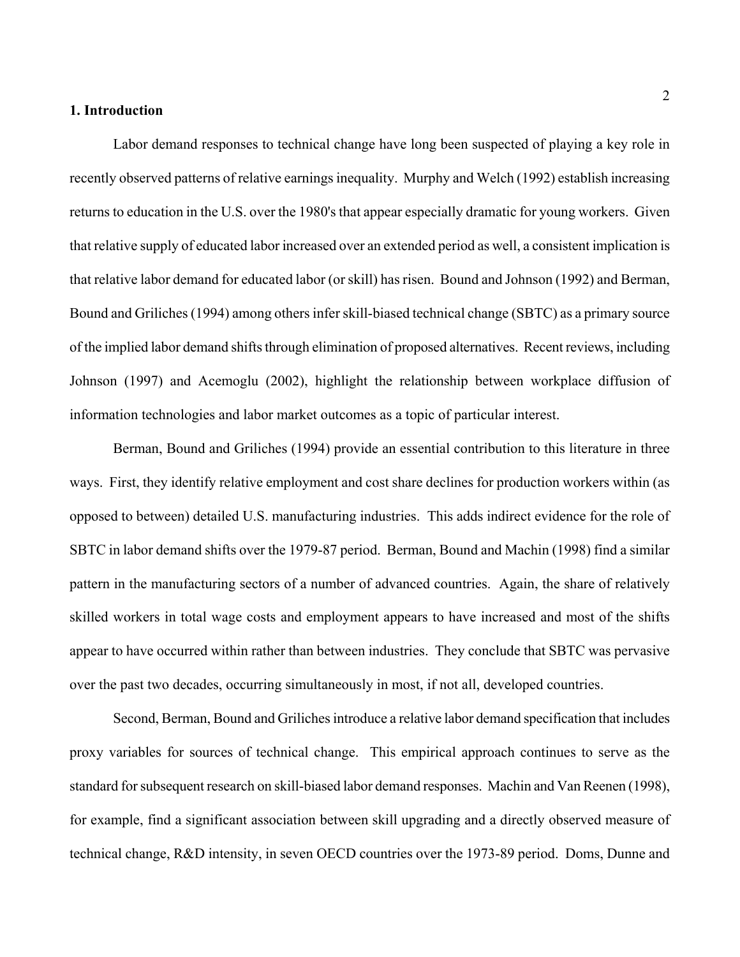#### **1. Introduction**

Labor demand responses to technical change have long been suspected of playing a key role in recently observed patterns of relative earnings inequality. Murphy and Welch (1992) establish increasing returns to education in the U.S. over the 1980's that appear especially dramatic for young workers. Given that relative supply of educated labor increased over an extended period as well, a consistent implication is that relative labor demand for educated labor (or skill) has risen. Bound and Johnson (1992) and Berman, Bound and Griliches (1994) among others infer skill-biased technical change (SBTC) as a primary source of the implied labor demand shifts through elimination of proposed alternatives. Recent reviews, including Johnson (1997) and Acemoglu (2002), highlight the relationship between workplace diffusion of information technologies and labor market outcomes as a topic of particular interest.

Berman, Bound and Griliches (1994) provide an essential contribution to this literature in three ways. First, they identify relative employment and cost share declines for production workers within (as opposed to between) detailed U.S. manufacturing industries. This adds indirect evidence for the role of SBTC in labor demand shifts over the 1979-87 period. Berman, Bound and Machin (1998) find a similar pattern in the manufacturing sectors of a number of advanced countries. Again, the share of relatively skilled workers in total wage costs and employment appears to have increased and most of the shifts appear to have occurred within rather than between industries. They conclude that SBTC was pervasive over the past two decades, occurring simultaneously in most, if not all, developed countries.

Second, Berman, Bound and Griliches introduce a relative labor demand specification that includes proxy variables for sources of technical change. This empirical approach continues to serve as the standard for subsequent research on skill-biased labor demand responses. Machin and Van Reenen (1998), for example, find a significant association between skill upgrading and a directly observed measure of technical change, R&D intensity, in seven OECD countries over the 1973-89 period. Doms, Dunne and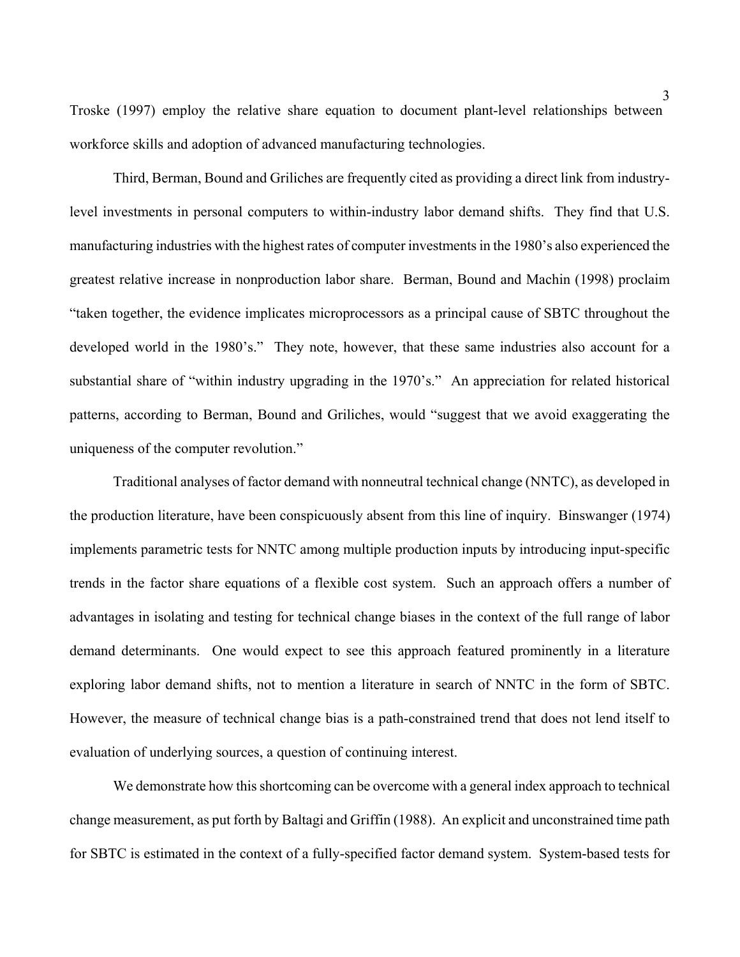Troske (1997) employ the relative share equation to document plant-level relationships between workforce skills and adoption of advanced manufacturing technologies.

Third, Berman, Bound and Griliches are frequently cited as providing a direct link from industrylevel investments in personal computers to within-industry labor demand shifts. They find that U.S. manufacturing industries with the highest rates of computer investments in the 1980's also experienced the greatest relative increase in nonproduction labor share. Berman, Bound and Machin (1998) proclaim "taken together, the evidence implicates microprocessors as a principal cause of SBTC throughout the developed world in the 1980's." They note, however, that these same industries also account for a substantial share of "within industry upgrading in the 1970's." An appreciation for related historical patterns, according to Berman, Bound and Griliches, would "suggest that we avoid exaggerating the uniqueness of the computer revolution."

Traditional analyses of factor demand with nonneutral technical change (NNTC), as developed in the production literature, have been conspicuously absent from this line of inquiry. Binswanger (1974) implements parametric tests for NNTC among multiple production inputs by introducing input-specific trends in the factor share equations of a flexible cost system. Such an approach offers a number of advantages in isolating and testing for technical change biases in the context of the full range of labor demand determinants. One would expect to see this approach featured prominently in a literature exploring labor demand shifts, not to mention a literature in search of NNTC in the form of SBTC. However, the measure of technical change bias is a path-constrained trend that does not lend itself to evaluation of underlying sources, a question of continuing interest.

We demonstrate how this shortcoming can be overcome with a general index approach to technical change measurement, as put forth by Baltagi and Griffin (1988). An explicit and unconstrained time path for SBTC is estimated in the context of a fully-specified factor demand system. System-based tests for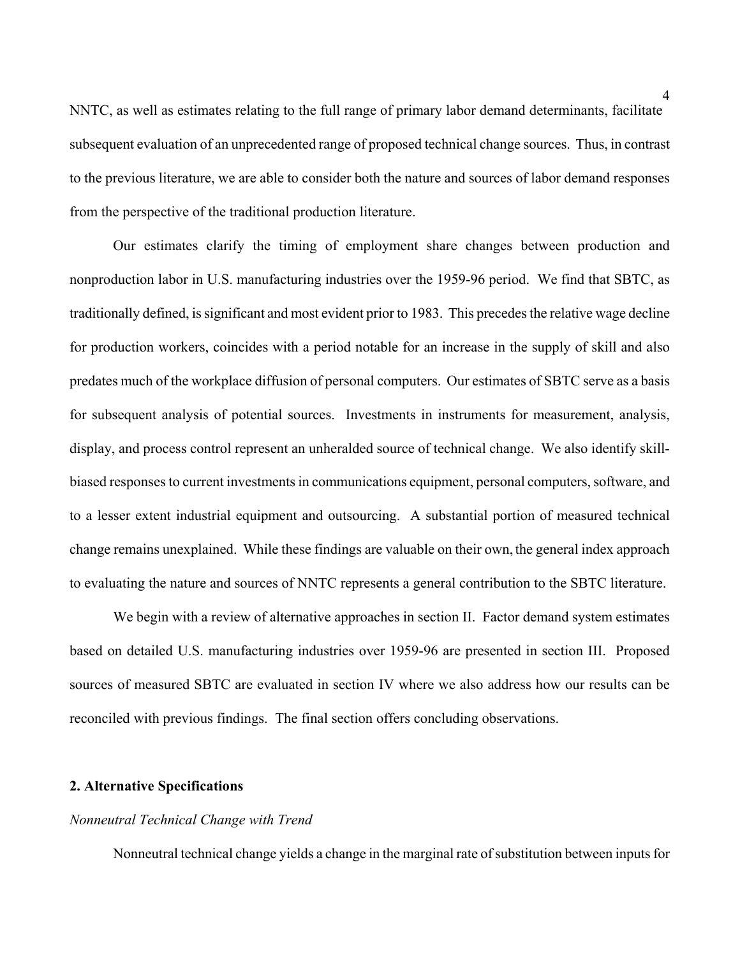NNTC, as well as estimates relating to the full range of primary labor demand determinants, facilitate subsequent evaluation of an unprecedented range of proposed technical change sources. Thus, in contrast to the previous literature, we are able to consider both the nature and sources of labor demand responses from the perspective of the traditional production literature.

Our estimates clarify the timing of employment share changes between production and nonproduction labor in U.S. manufacturing industries over the 1959-96 period. We find that SBTC, as traditionally defined, is significant and most evident prior to 1983. This precedes the relative wage decline for production workers, coincides with a period notable for an increase in the supply of skill and also predates much of the workplace diffusion of personal computers. Our estimates of SBTC serve as a basis for subsequent analysis of potential sources. Investments in instruments for measurement, analysis, display, and process control represent an unheralded source of technical change. We also identify skillbiased responses to current investments in communications equipment, personal computers, software, and to a lesser extent industrial equipment and outsourcing. A substantial portion of measured technical change remains unexplained. While these findings are valuable on their own, the general index approach to evaluating the nature and sources of NNTC represents a general contribution to the SBTC literature.

We begin with a review of alternative approaches in section II. Factor demand system estimates based on detailed U.S. manufacturing industries over 1959-96 are presented in section III. Proposed sources of measured SBTC are evaluated in section IV where we also address how our results can be reconciled with previous findings. The final section offers concluding observations.

#### **2. Alternative Specifications**

#### *Nonneutral Technical Change with Trend*

Nonneutral technical change yields a change in the marginal rate of substitution between inputs for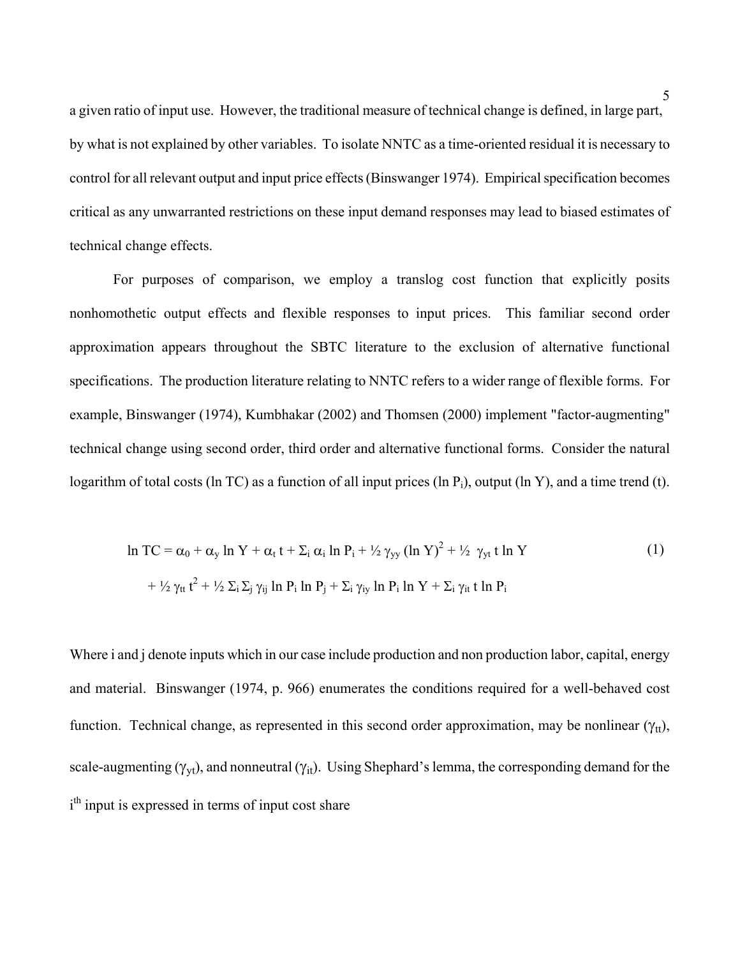a given ratio of input use. However, the traditional measure of technical change is defined, in large part, by what is not explained by other variables. To isolate NNTC as a time-oriented residual it is necessary to control for all relevant output and input price effects (Binswanger 1974). Empirical specification becomes critical as any unwarranted restrictions on these input demand responses may lead to biased estimates of technical change effects.

For purposes of comparison, we employ a translog cost function that explicitly posits nonhomothetic output effects and flexible responses to input prices. This familiar second order approximation appears throughout the SBTC literature to the exclusion of alternative functional specifications. The production literature relating to NNTC refers to a wider range of flexible forms. For example, Binswanger (1974), Kumbhakar (2002) and Thomsen (2000) implement "factor-augmenting" technical change using second order, third order and alternative functional forms. Consider the natural logarithm of total costs (ln TC) as a function of all input prices (ln  $P_i$ ), output (ln Y), and a time trend (t).

$$
\ln TC = \alpha_0 + \alpha_y \ln Y + \alpha_t t + \sum_i \alpha_i \ln P_i + \frac{1}{2} \gamma_{yy} (\ln Y)^2 + \frac{1}{2} \gamma_{yt} t \ln Y
$$
  
+ 
$$
\frac{1}{2} \gamma_{tt} t^2 + \frac{1}{2} \sum_i \sum_j \gamma_{ij} \ln P_i \ln P_j + \sum_i \gamma_{iy} \ln P_i \ln Y + \sum_i \gamma_{it} t \ln P_i
$$
 (1)

Where i and j denote inputs which in our case include production and non production labor, capital, energy and material. Binswanger (1974, p. 966) enumerates the conditions required for a well-behaved cost function. Technical change, as represented in this second order approximation, may be nonlinear  $(\gamma_{tt})$ , scale-augmenting ( $\gamma_{vt}$ ), and nonneutral ( $\gamma_{it}$ ). Using Shephard's lemma, the corresponding demand for the i<sup>th</sup> input is expressed in terms of input cost share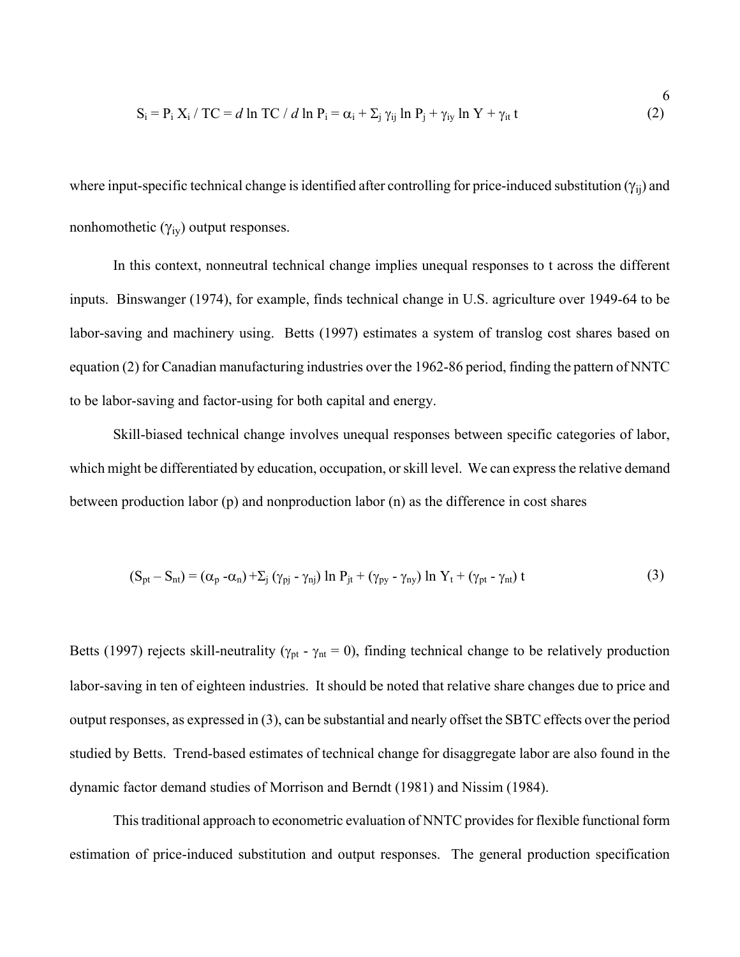$$
S_i = P_i X_i / TC = d \ln TC / d \ln P_i = \alpha_i + \sum_j \gamma_{ij} \ln P_j + \gamma_{iy} \ln Y + \gamma_{it} t
$$
 (2)

6

where input-specific technical change is identified after controlling for price-induced substitution  $(\gamma_{ii})$  and nonhomothetic  $(\gamma_{iv})$  output responses.

In this context, nonneutral technical change implies unequal responses to t across the different inputs. Binswanger (1974), for example, finds technical change in U.S. agriculture over 1949-64 to be labor-saving and machinery using. Betts (1997) estimates a system of translog cost shares based on equation (2) for Canadian manufacturing industries over the 1962-86 period, finding the pattern of NNTC to be labor-saving and factor-using for both capital and energy.

Skill-biased technical change involves unequal responses between specific categories of labor, which might be differentiated by education, occupation, or skill level. We can express the relative demand between production labor (p) and nonproduction labor (n) as the difference in cost shares

$$
(S_{pt} - S_{nt}) = (\alpha_p - \alpha_n) + \sum_j (\gamma_{pj} - \gamma_{nj}) \ln P_{jt} + (\gamma_{py} - \gamma_{ny}) \ln Y_t + (\gamma_{pt} - \gamma_{nt}) t
$$
\n(3)

Betts (1997) rejects skill-neutrality ( $\gamma_{pt}$  -  $\gamma_{nt}$  = 0), finding technical change to be relatively production labor-saving in ten of eighteen industries. It should be noted that relative share changes due to price and output responses, as expressed in (3), can be substantial and nearly offset the SBTC effects over the period studied by Betts. Trend-based estimates of technical change for disaggregate labor are also found in the dynamic factor demand studies of Morrison and Berndt (1981) and Nissim (1984).

 This traditional approach to econometric evaluation of NNTC provides for flexible functional form estimation of price-induced substitution and output responses. The general production specification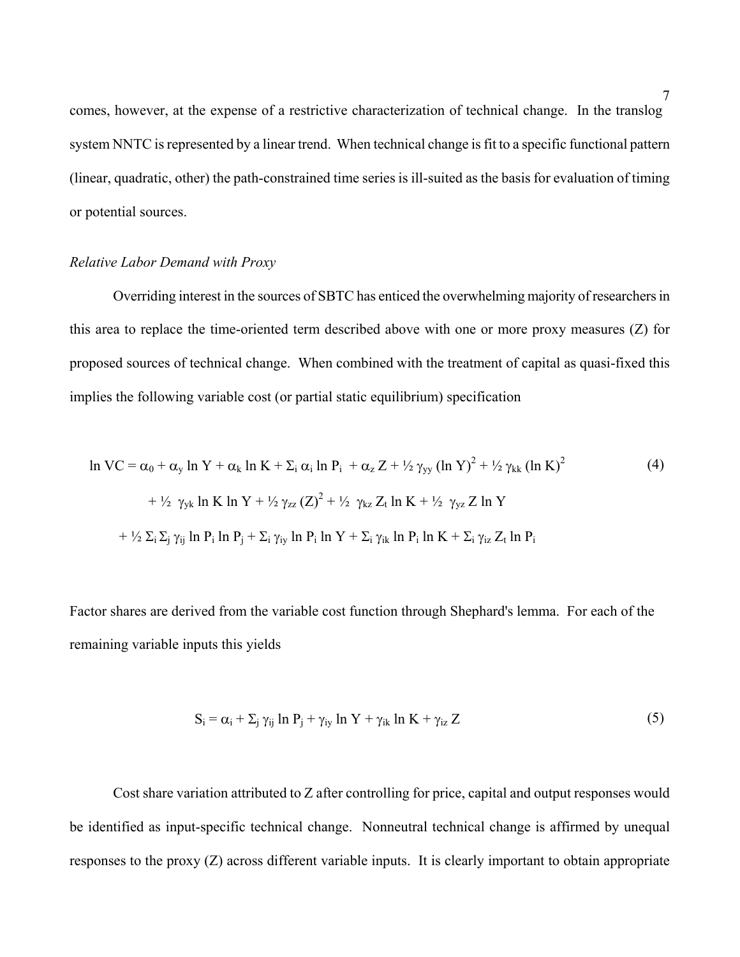comes, however, at the expense of a restrictive characterization of technical change. In the translog system NNTC is represented by a linear trend. When technical change is fit to a specific functional pattern (linear, quadratic, other) the path-constrained time series is ill-suited as the basis for evaluation of timing or potential sources.

#### *Relative Labor Demand with Proxy*

Overriding interest in the sources of SBTC has enticed the overwhelming majority of researchers in this area to replace the time-oriented term described above with one or more proxy measures (Z) for proposed sources of technical change. When combined with the treatment of capital as quasi-fixed this implies the following variable cost (or partial static equilibrium) specification

$$
\ln VC = \alpha_0 + \alpha_y \ln Y + \alpha_k \ln K + \Sigma_i \alpha_i \ln P_i + \alpha_z Z + \frac{1}{2} \gamma_{yy} (\ln Y)^2 + \frac{1}{2} \gamma_{kk} (\ln K)^2
$$
  
+  $\frac{1}{2} \gamma_{yk} \ln K \ln Y + \frac{1}{2} \gamma_{zz} (Z)^2 + \frac{1}{2} \gamma_{kz} Z_t \ln K + \frac{1}{2} \gamma_{yz} Z \ln Y$   
+  $\frac{1}{2} \Sigma_i \Sigma_j \gamma_{ij} \ln P_i \ln P_j + \Sigma_i \gamma_{iy} \ln P_i \ln Y + \Sigma_i \gamma_{ik} \ln P_i \ln K + \Sigma_i \gamma_{iz} Z_t \ln P_i$ 

Factor shares are derived from the variable cost function through Shephard's lemma. For each of the remaining variable inputs this yields

$$
S_i = \alpha_i + \sum_j \gamma_{ij} \ln P_j + \gamma_{iy} \ln Y + \gamma_{ik} \ln K + \gamma_{iz} Z \tag{5}
$$

Cost share variation attributed to Z after controlling for price, capital and output responses would be identified as input-specific technical change. Nonneutral technical change is affirmed by unequal responses to the proxy (Z) across different variable inputs. It is clearly important to obtain appropriate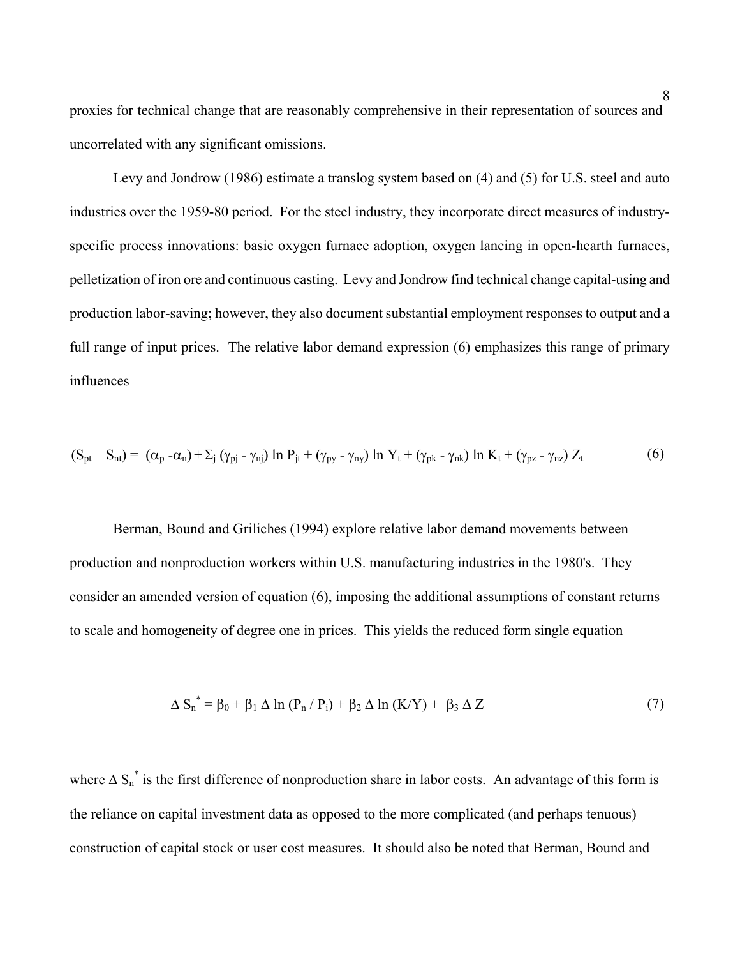proxies for technical change that are reasonably comprehensive in their representation of sources and uncorrelated with any significant omissions.

Levy and Jondrow (1986) estimate a translog system based on (4) and (5) for U.S. steel and auto industries over the 1959-80 period. For the steel industry, they incorporate direct measures of industryspecific process innovations: basic oxygen furnace adoption, oxygen lancing in open-hearth furnaces, pelletization of iron ore and continuous casting. Levy and Jondrow find technical change capital-using and production labor-saving; however, they also document substantial employment responses to output and a full range of input prices. The relative labor demand expression (6) emphasizes this range of primary influences

$$
(S_{pt} - S_{nt}) = (\alpha_p - \alpha_n) + \sum_j (\gamma_{pj} - \gamma_{nj}) \ln P_{jt} + (\gamma_{py} - \gamma_{ny}) \ln Y_t + (\gamma_{pk} - \gamma_{nk}) \ln K_t + (\gamma_{pz} - \gamma_{nz}) Z_t
$$
 (6)

Berman, Bound and Griliches (1994) explore relative labor demand movements between production and nonproduction workers within U.S. manufacturing industries in the 1980's. They consider an amended version of equation (6), imposing the additional assumptions of constant returns to scale and homogeneity of degree one in prices. This yields the reduced form single equation

$$
\Delta S_n^* = \beta_0 + \beta_1 \Delta \ln (P_n / P_i) + \beta_2 \Delta \ln (K/Y) + \beta_3 \Delta Z \tag{7}
$$

where  $\Delta S_n^*$  is the first difference of nonproduction share in labor costs. An advantage of this form is the reliance on capital investment data as opposed to the more complicated (and perhaps tenuous) construction of capital stock or user cost measures. It should also be noted that Berman, Bound and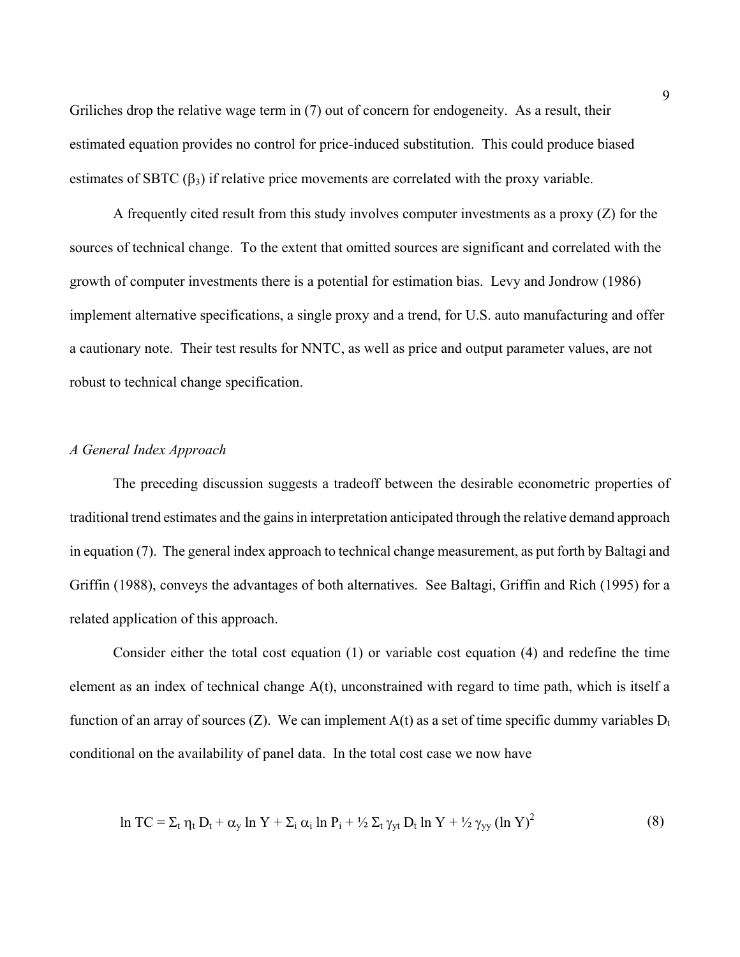Griliches drop the relative wage term in (7) out of concern for endogeneity. As a result, their estimated equation provides no control for price-induced substitution. This could produce biased estimates of SBTC  $(\beta_3)$  if relative price movements are correlated with the proxy variable.

A frequently cited result from this study involves computer investments as a proxy (Z) for the sources of technical change. To the extent that omitted sources are significant and correlated with the growth of computer investments there is a potential for estimation bias. Levy and Jondrow (1986) implement alternative specifications, a single proxy and a trend, for U.S. auto manufacturing and offer a cautionary note. Their test results for NNTC, as well as price and output parameter values, are not robust to technical change specification.

#### *A General Index Approach*

The preceding discussion suggests a tradeoff between the desirable econometric properties of traditional trend estimates and the gains in interpretation anticipated through the relative demand approach in equation (7). The general index approach to technical change measurement, as put forth by Baltagi and Griffin (1988), conveys the advantages of both alternatives. See Baltagi, Griffin and Rich (1995) for a related application of this approach.

Consider either the total cost equation (1) or variable cost equation (4) and redefine the time element as an index of technical change A(t), unconstrained with regard to time path, which is itself a function of an array of sources (Z). We can implement  $A(t)$  as a set of time specific dummy variables  $D_t$ conditional on the availability of panel data. In the total cost case we now have

$$
\ln TC = \Sigma_t \eta_t D_t + \alpha_y \ln Y + \Sigma_i \alpha_i \ln P_i + \frac{1}{2} \Sigma_t \gamma_{yt} D_t \ln Y + \frac{1}{2} \gamma_{yy} (\ln Y)^2 \tag{8}
$$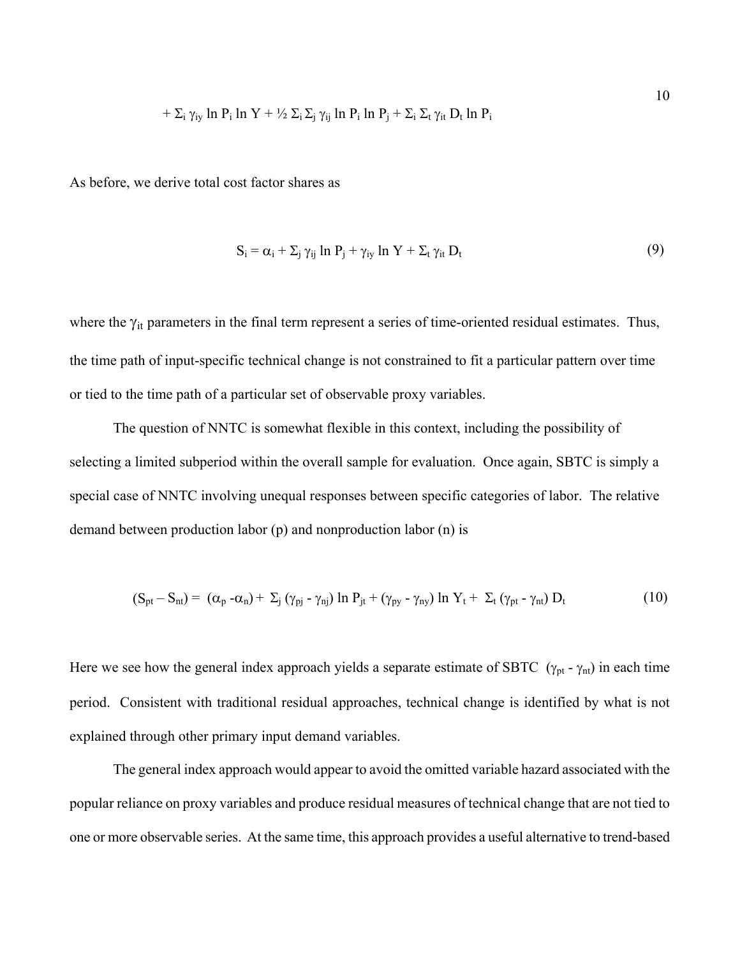$$
+ \Sigma_i \gamma_{iy} \ln P_i \ln Y + \frac{1}{2} \Sigma_i \Sigma_j \gamma_{ij} \ln P_i \ln P_j + \Sigma_i \Sigma_t \gamma_{it} D_t \ln P_i
$$

As before, we derive total cost factor shares as

$$
S_i = \alpha_i + \sum_j \gamma_{ij} \ln P_j + \gamma_{iy} \ln Y + \sum_t \gamma_{it} D_t \tag{9}
$$

10

where the  $\gamma_{it}$  parameters in the final term represent a series of time-oriented residual estimates. Thus, the time path of input-specific technical change is not constrained to fit a particular pattern over time or tied to the time path of a particular set of observable proxy variables.

The question of NNTC is somewhat flexible in this context, including the possibility of selecting a limited subperiod within the overall sample for evaluation. Once again, SBTC is simply a special case of NNTC involving unequal responses between specific categories of labor. The relative demand between production labor (p) and nonproduction labor (n) is

$$
(S_{pt} - S_{nt}) = (\alpha_p - \alpha_n) + \Sigma_j (\gamma_{pj} - \gamma_{nj}) \ln P_{jt} + (\gamma_{py} - \gamma_{ny}) \ln Y_t + \Sigma_t (\gamma_{pt} - \gamma_{nt}) D_t
$$
\n(10)

Here we see how the general index approach yields a separate estimate of SBTC ( $\gamma_{pt}$  -  $\gamma_{nt}$ ) in each time period. Consistent with traditional residual approaches, technical change is identified by what is not explained through other primary input demand variables.

The general index approach would appear to avoid the omitted variable hazard associated with the popular reliance on proxy variables and produce residual measures of technical change that are not tied to one or more observable series. At the same time, this approach provides a useful alternative to trend-based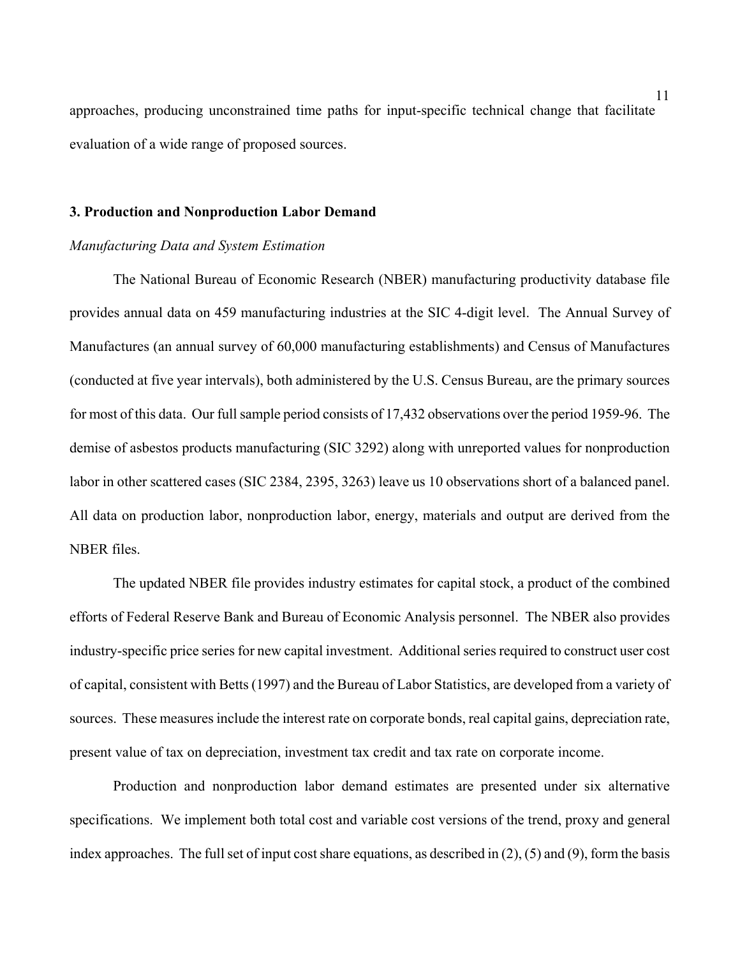approaches, producing unconstrained time paths for input-specific technical change that facilitate evaluation of a wide range of proposed sources.

#### **3. Production and Nonproduction Labor Demand**

#### *Manufacturing Data and System Estimation*

The National Bureau of Economic Research (NBER) manufacturing productivity database file provides annual data on 459 manufacturing industries at the SIC 4-digit level. The Annual Survey of Manufactures (an annual survey of 60,000 manufacturing establishments) and Census of Manufactures (conducted at five year intervals), both administered by the U.S. Census Bureau, are the primary sources for most of this data. Our full sample period consists of 17,432 observations over the period 1959-96. The demise of asbestos products manufacturing (SIC 3292) along with unreported values for nonproduction labor in other scattered cases (SIC 2384, 2395, 3263) leave us 10 observations short of a balanced panel. All data on production labor, nonproduction labor, energy, materials and output are derived from the NBER files.

The updated NBER file provides industry estimates for capital stock, a product of the combined efforts of Federal Reserve Bank and Bureau of Economic Analysis personnel. The NBER also provides industry-specific price series for new capital investment. Additional series required to construct user cost of capital, consistent with Betts (1997) and the Bureau of Labor Statistics, are developed from a variety of sources. These measures include the interest rate on corporate bonds, real capital gains, depreciation rate, present value of tax on depreciation, investment tax credit and tax rate on corporate income.

Production and nonproduction labor demand estimates are presented under six alternative specifications. We implement both total cost and variable cost versions of the trend, proxy and general index approaches. The full set of input cost share equations, as described in (2), (5) and (9), form the basis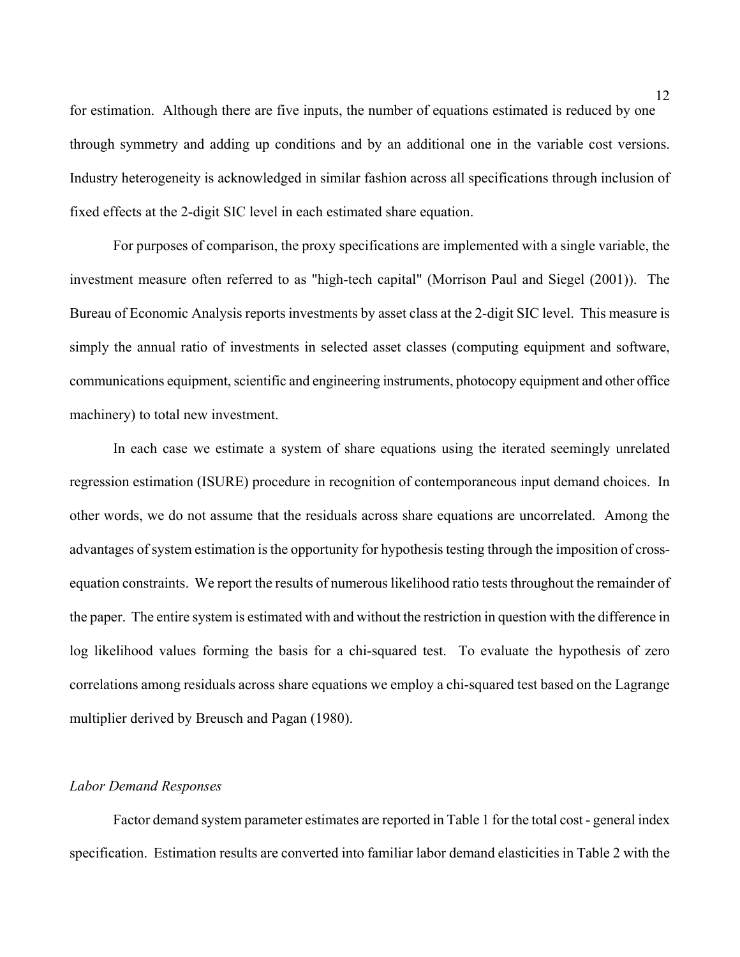for estimation. Although there are five inputs, the number of equations estimated is reduced by one through symmetry and adding up conditions and by an additional one in the variable cost versions. Industry heterogeneity is acknowledged in similar fashion across all specifications through inclusion of fixed effects at the 2-digit SIC level in each estimated share equation.

For purposes of comparison, the proxy specifications are implemented with a single variable, the investment measure often referred to as "high-tech capital" (Morrison Paul and Siegel (2001)). The Bureau of Economic Analysis reports investments by asset class at the 2-digit SIC level. This measure is simply the annual ratio of investments in selected asset classes (computing equipment and software, communications equipment, scientific and engineering instruments, photocopy equipment and other office machinery) to total new investment.

In each case we estimate a system of share equations using the iterated seemingly unrelated regression estimation (ISURE) procedure in recognition of contemporaneous input demand choices. In other words, we do not assume that the residuals across share equations are uncorrelated. Among the advantages of system estimation is the opportunity for hypothesis testing through the imposition of crossequation constraints. We report the results of numerous likelihood ratio tests throughout the remainder of the paper. The entire system is estimated with and without the restriction in question with the difference in log likelihood values forming the basis for a chi-squared test. To evaluate the hypothesis of zero correlations among residuals across share equations we employ a chi-squared test based on the Lagrange multiplier derived by Breusch and Pagan (1980).

#### *Labor Demand Responses*

Factor demand system parameter estimates are reported in Table 1 for the total cost - general index specification. Estimation results are converted into familiar labor demand elasticities in Table 2 with the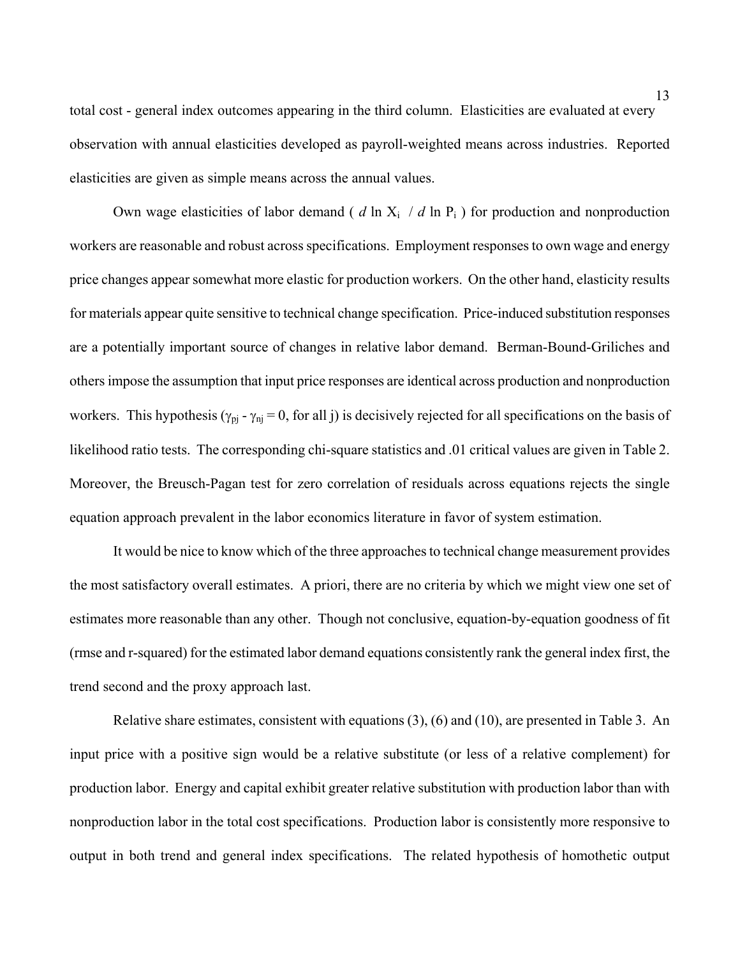total cost - general index outcomes appearing in the third column. Elasticities are evaluated at every observation with annual elasticities developed as payroll-weighted means across industries. Reported elasticities are given as simple means across the annual values.

Own wage elasticities of labor demand (  $d \ln X_i / d \ln P_i$  ) for production and nonproduction workers are reasonable and robust across specifications. Employment responses to own wage and energy price changes appear somewhat more elastic for production workers. On the other hand, elasticity results for materials appear quite sensitive to technical change specification. Price-induced substitution responses are a potentially important source of changes in relative labor demand. Berman-Bound-Griliches and others impose the assumption that input price responses are identical across production and nonproduction workers. This hypothesis ( $\gamma_{pj}$  -  $\gamma_{nj}$  = 0, for all j) is decisively rejected for all specifications on the basis of likelihood ratio tests. The corresponding chi-square statistics and .01 critical values are given in Table 2. Moreover, the Breusch-Pagan test for zero correlation of residuals across equations rejects the single equation approach prevalent in the labor economics literature in favor of system estimation.

It would be nice to know which of the three approaches to technical change measurement provides the most satisfactory overall estimates. A priori, there are no criteria by which we might view one set of estimates more reasonable than any other. Though not conclusive, equation-by-equation goodness of fit (rmse and r-squared) for the estimated labor demand equations consistently rank the general index first, the trend second and the proxy approach last.

Relative share estimates, consistent with equations (3), (6) and (10), are presented in Table 3. An input price with a positive sign would be a relative substitute (or less of a relative complement) for production labor. Energy and capital exhibit greater relative substitution with production labor than with nonproduction labor in the total cost specifications. Production labor is consistently more responsive to output in both trend and general index specifications. The related hypothesis of homothetic output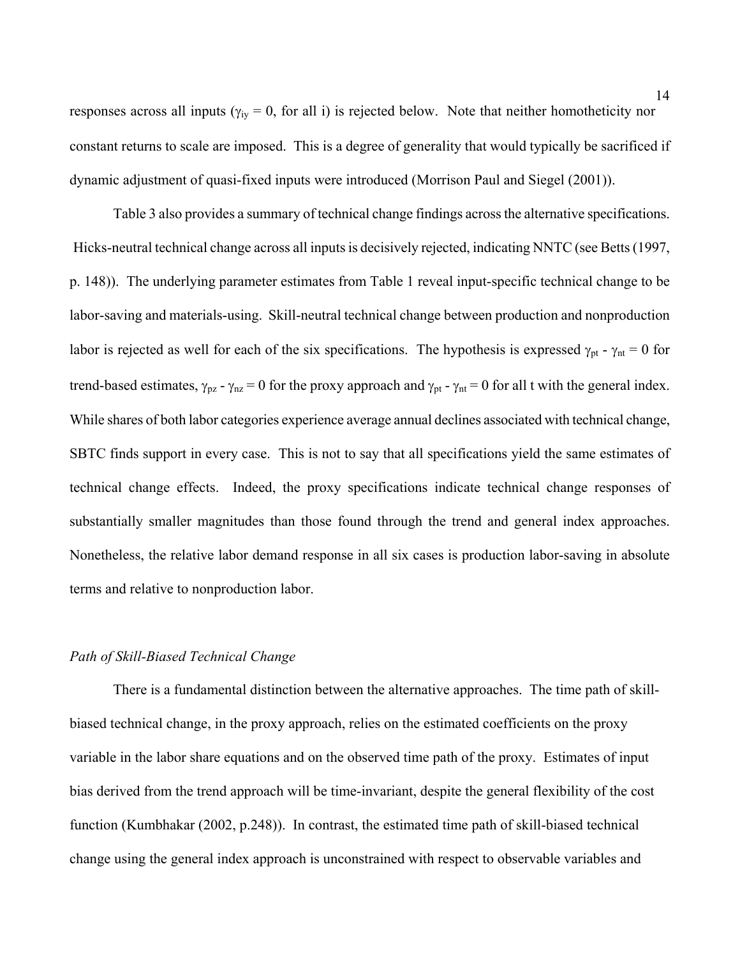responses across all inputs ( $\gamma_{iv} = 0$ , for all i) is rejected below. Note that neither homotheticity nor constant returns to scale are imposed. This is a degree of generality that would typically be sacrificed if dynamic adjustment of quasi-fixed inputs were introduced (Morrison Paul and Siegel (2001)).

Table 3 also provides a summary of technical change findings across the alternative specifications. Hicks-neutral technical change across all inputs is decisively rejected, indicating NNTC (see Betts (1997, p. 148)). The underlying parameter estimates from Table 1 reveal input-specific technical change to be labor-saving and materials-using. Skill-neutral technical change between production and nonproduction labor is rejected as well for each of the six specifications. The hypothesis is expressed  $\gamma_{pt}$  -  $\gamma_{nt}$  = 0 for trend-based estimates,  $\gamma_{pz}$  -  $\gamma_{nz}$  = 0 for the proxy approach and  $\gamma_{pt}$  -  $\gamma_{nt}$  = 0 for all t with the general index. While shares of both labor categories experience average annual declines associated with technical change, SBTC finds support in every case. This is not to say that all specifications yield the same estimates of technical change effects. Indeed, the proxy specifications indicate technical change responses of substantially smaller magnitudes than those found through the trend and general index approaches. Nonetheless, the relative labor demand response in all six cases is production labor-saving in absolute terms and relative to nonproduction labor.

#### *Path of Skill-Biased Technical Change*

There is a fundamental distinction between the alternative approaches. The time path of skillbiased technical change, in the proxy approach, relies on the estimated coefficients on the proxy variable in the labor share equations and on the observed time path of the proxy. Estimates of input bias derived from the trend approach will be time-invariant, despite the general flexibility of the cost function (Kumbhakar (2002, p.248)). In contrast, the estimated time path of skill-biased technical change using the general index approach is unconstrained with respect to observable variables and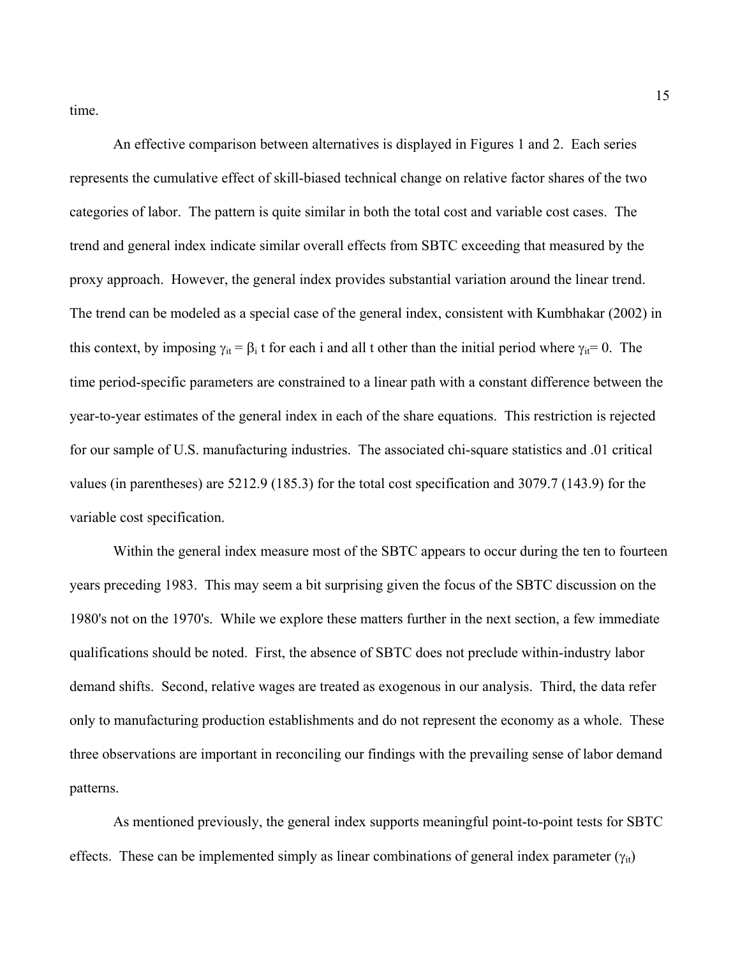time.

An effective comparison between alternatives is displayed in Figures 1 and 2. Each series represents the cumulative effect of skill-biased technical change on relative factor shares of the two categories of labor. The pattern is quite similar in both the total cost and variable cost cases. The trend and general index indicate similar overall effects from SBTC exceeding that measured by the proxy approach. However, the general index provides substantial variation around the linear trend. The trend can be modeled as a special case of the general index, consistent with Kumbhakar (2002) in this context, by imposing  $\gamma_{it} = \beta_i$  t for each i and all t other than the initial period where  $\gamma_{it} = 0$ . The time period-specific parameters are constrained to a linear path with a constant difference between the year-to-year estimates of the general index in each of the share equations. This restriction is rejected for our sample of U.S. manufacturing industries. The associated chi-square statistics and .01 critical values (in parentheses) are 5212.9 (185.3) for the total cost specification and 3079.7 (143.9) for the variable cost specification.

Within the general index measure most of the SBTC appears to occur during the ten to fourteen years preceding 1983. This may seem a bit surprising given the focus of the SBTC discussion on the 1980's not on the 1970's. While we explore these matters further in the next section, a few immediate qualifications should be noted. First, the absence of SBTC does not preclude within-industry labor demand shifts. Second, relative wages are treated as exogenous in our analysis. Third, the data refer only to manufacturing production establishments and do not represent the economy as a whole. These three observations are important in reconciling our findings with the prevailing sense of labor demand patterns.

As mentioned previously, the general index supports meaningful point-to-point tests for SBTC effects. These can be implemented simply as linear combinations of general index parameter  $(\gamma_{it})$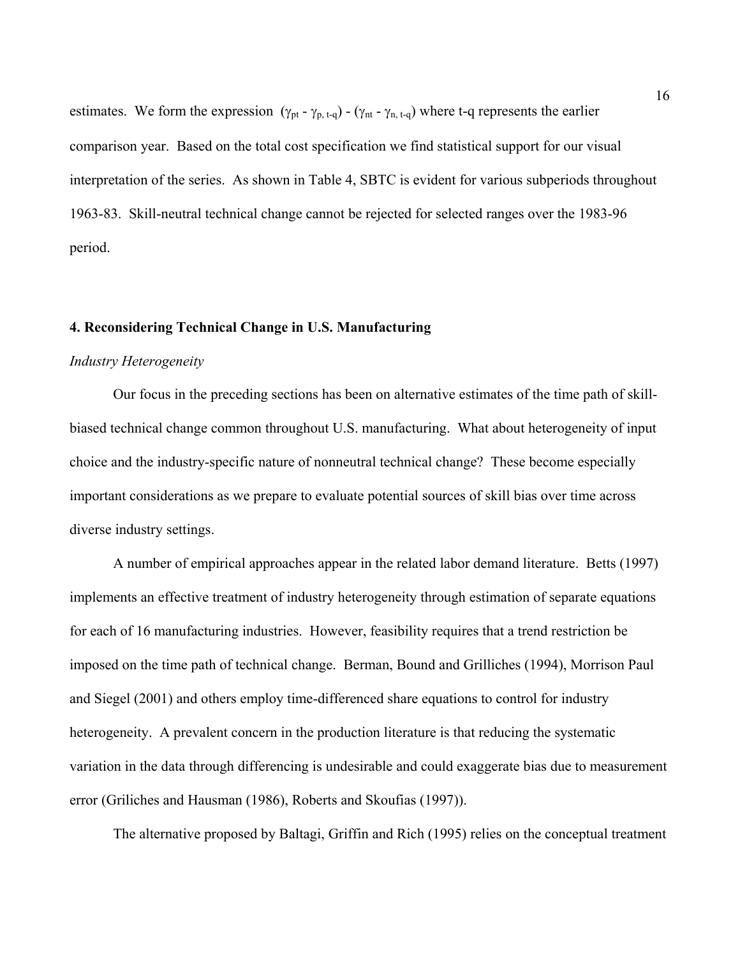estimates. We form the expression  $(\gamma_{pt} - \gamma_{p, t-q}) - (\gamma_{nt} - \gamma_{n, t-q})$  where t-q represents the earlier comparison year. Based on the total cost specification we find statistical support for our visual interpretation of the series. As shown in Table 4, SBTC is evident for various subperiods throughout 1963-83. Skill-neutral technical change cannot be rejected for selected ranges over the 1983-96 period.

#### **4. Reconsidering Technical Change in U.S. Manufacturing**

#### *Industry Heterogeneity*

Our focus in the preceding sections has been on alternative estimates of the time path of skillbiased technical change common throughout U.S. manufacturing. What about heterogeneity of input choice and the industry-specific nature of nonneutral technical change? These become especially important considerations as we prepare to evaluate potential sources of skill bias over time across diverse industry settings.

A number of empirical approaches appear in the related labor demand literature. Betts (1997) implements an effective treatment of industry heterogeneity through estimation of separate equations for each of 16 manufacturing industries. However, feasibility requires that a trend restriction be imposed on the time path of technical change. Berman, Bound and Grilliches (1994), Morrison Paul and Siegel (2001) and others employ time-differenced share equations to control for industry heterogeneity. A prevalent concern in the production literature is that reducing the systematic variation in the data through differencing is undesirable and could exaggerate bias due to measurement error (Griliches and Hausman (1986), Roberts and Skoufias (1997)).

The alternative proposed by Baltagi, Griffin and Rich (1995) relies on the conceptual treatment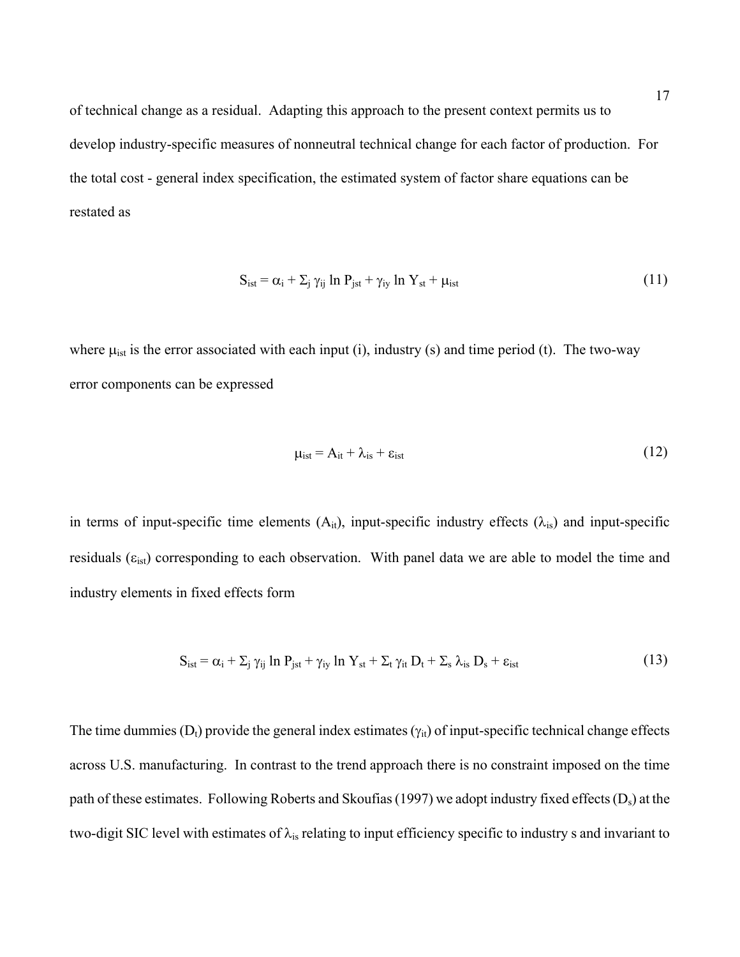of technical change as a residual. Adapting this approach to the present context permits us to develop industry-specific measures of nonneutral technical change for each factor of production. For the total cost - general index specification, the estimated system of factor share equations can be restated as

$$
S_{ist} = \alpha_i + \Sigma_j \gamma_{ij} \ln P_{jst} + \gamma_{iy} \ln Y_{st} + \mu_{ist}
$$
 (11)

where  $\mu_{\text{ist}}$  is the error associated with each input (i), industry (s) and time period (t). The two-way error components can be expressed

$$
\mu_{\text{ist}} = A_{\text{it}} + \lambda_{\text{is}} + \varepsilon_{\text{ist}} \tag{12}
$$

in terms of input-specific time elements  $(A_{it})$ , input-specific industry effects  $(\lambda_{is})$  and input-specific residuals ( $\varepsilon_{\rm{ist}}$ ) corresponding to each observation. With panel data we are able to model the time and industry elements in fixed effects form

$$
S_{ist} = \alpha_i + \sum_j \gamma_{ij} \ln P_{jst} + \gamma_{iy} \ln Y_{st} + \sum_t \gamma_{it} D_t + \sum_s \lambda_{is} D_s + \epsilon_{ist}
$$
 (13)

The time dummies  $(D_t)$  provide the general index estimates  $(\gamma_{it})$  of input-specific technical change effects across U.S. manufacturing. In contrast to the trend approach there is no constraint imposed on the time path of these estimates. Following Roberts and Skoufias (1997) we adopt industry fixed effects (D<sub>s</sub>) at the two-digit SIC level with estimates of  $\lambda_{is}$  relating to input efficiency specific to industry s and invariant to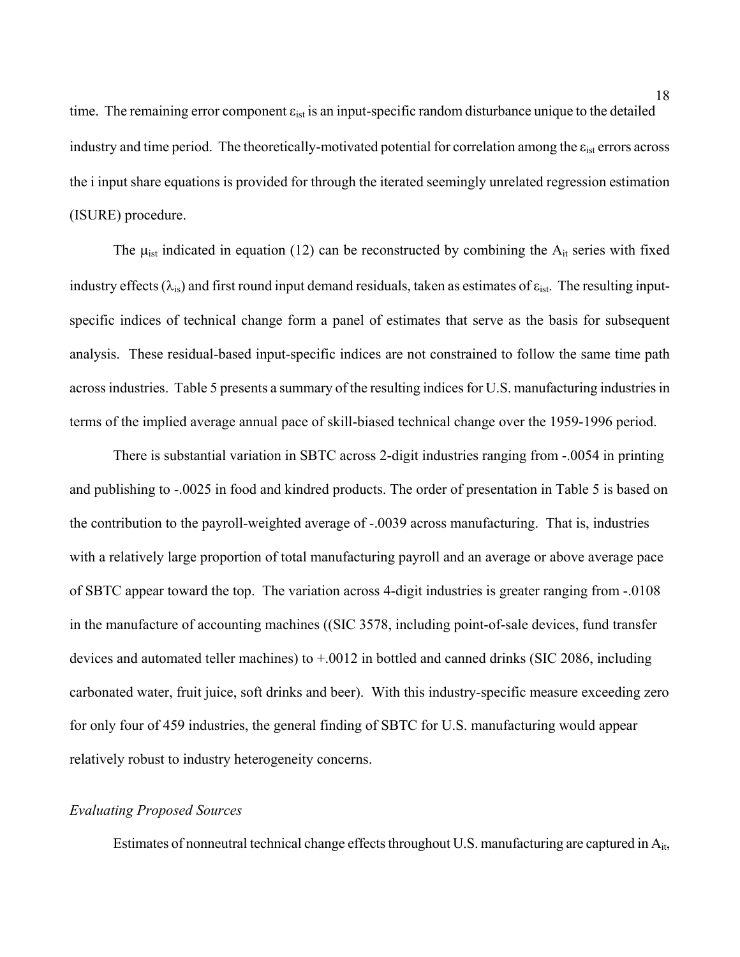time. The remaining error component  $\varepsilon_{\rm{ist}}$  is an input-specific random disturbance unique to the detailed industry and time period. The theoretically-motivated potential for correlation among the  $\varepsilon_{\text{ist}}$  errors across the i input share equations is provided for through the iterated seemingly unrelated regression estimation (ISURE) procedure.

The  $\mu_{\text{ist}}$  indicated in equation (12) can be reconstructed by combining the  $A_{it}$  series with fixed industry effects ( $\lambda_{is}$ ) and first round input demand residuals, taken as estimates of  $\varepsilon_{ist}$ . The resulting inputspecific indices of technical change form a panel of estimates that serve as the basis for subsequent analysis. These residual-based input-specific indices are not constrained to follow the same time path across industries. Table 5 presents a summary of the resulting indices for U.S. manufacturing industries in terms of the implied average annual pace of skill-biased technical change over the 1959-1996 period.

 There is substantial variation in SBTC across 2-digit industries ranging from -.0054 in printing and publishing to -.0025 in food and kindred products. The order of presentation in Table 5 is based on the contribution to the payroll-weighted average of -.0039 across manufacturing. That is, industries with a relatively large proportion of total manufacturing payroll and an average or above average pace of SBTC appear toward the top. The variation across 4-digit industries is greater ranging from -.0108 in the manufacture of accounting machines ((SIC 3578, including point-of-sale devices, fund transfer devices and automated teller machines) to +.0012 in bottled and canned drinks (SIC 2086, including carbonated water, fruit juice, soft drinks and beer). With this industry-specific measure exceeding zero for only four of 459 industries, the general finding of SBTC for U.S. manufacturing would appear relatively robust to industry heterogeneity concerns.

#### *Evaluating Proposed Sources*

Estimates of nonneutral technical change effects throughout U.S. manufacturing are captured in A<sub>it</sub>,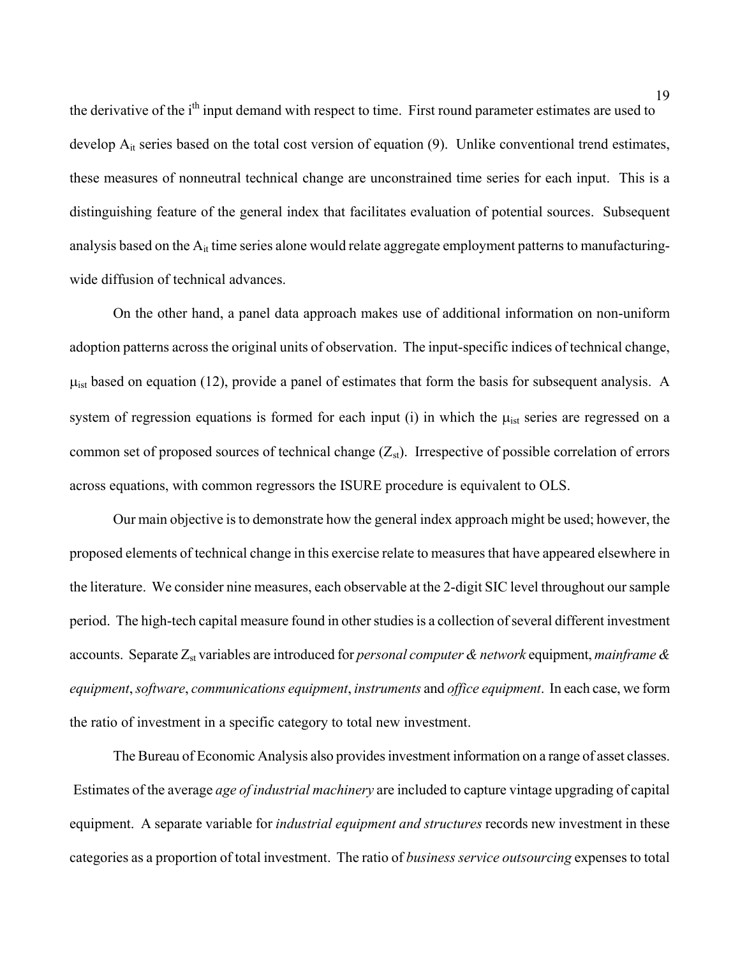the derivative of the i<sup>th</sup> input demand with respect to time. First round parameter estimates are used to develop A<sub>it</sub> series based on the total cost version of equation (9). Unlike conventional trend estimates, these measures of nonneutral technical change are unconstrained time series for each input. This is a distinguishing feature of the general index that facilitates evaluation of potential sources. Subsequent analysis based on the  $A_{it}$  time series alone would relate aggregate employment patterns to manufacturingwide diffusion of technical advances.

On the other hand, a panel data approach makes use of additional information on non-uniform adoption patterns across the original units of observation. The input-specific indices of technical change,  $\mu_{\text{ist}}$  based on equation (12), provide a panel of estimates that form the basis for subsequent analysis. A system of regression equations is formed for each input (i) in which the  $\mu_{\text{ist}}$  series are regressed on a common set of proposed sources of technical change  $(Z_{st})$ . Irrespective of possible correlation of errors across equations, with common regressors the ISURE procedure is equivalent to OLS.

Our main objective is to demonstrate how the general index approach might be used; however, the proposed elements of technical change in this exercise relate to measures that have appeared elsewhere in the literature. We consider nine measures, each observable at the 2-digit SIC level throughout our sample period. The high-tech capital measure found in other studies is a collection of several different investment accounts. Separate Z<sub>st</sub> variables are introduced for *personal computer & network* equipment, *mainframe & equipment*, *software*, *communications equipment*, *instruments* and *office equipment*. In each case, we form the ratio of investment in a specific category to total new investment.

The Bureau of Economic Analysis also provides investment information on a range of asset classes. Estimates of the average *age of industrial machinery* are included to capture vintage upgrading of capital equipment. A separate variable for *industrial equipment and structures* records new investment in these categories as a proportion of total investment. The ratio of *business service outsourcing* expenses to total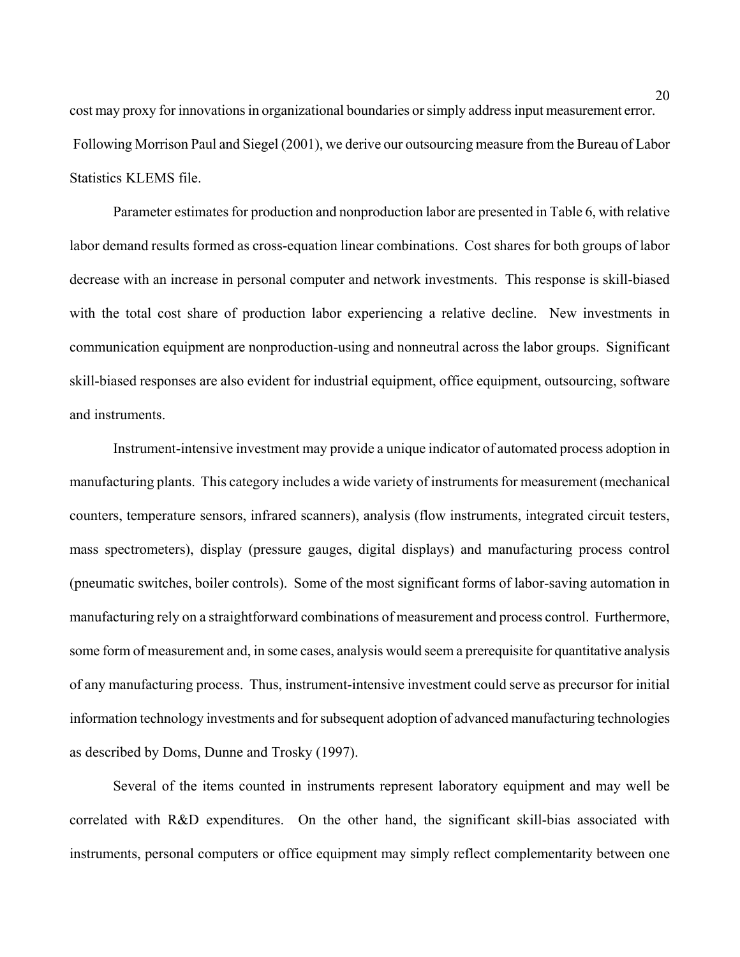cost may proxy for innovations in organizational boundaries or simply address input measurement error. Following Morrison Paul and Siegel (2001), we derive our outsourcing measure from the Bureau of Labor Statistics KLEMS file.

Parameter estimates for production and nonproduction labor are presented in Table 6, with relative labor demand results formed as cross-equation linear combinations. Cost shares for both groups of labor decrease with an increase in personal computer and network investments. This response is skill-biased with the total cost share of production labor experiencing a relative decline. New investments in communication equipment are nonproduction-using and nonneutral across the labor groups. Significant skill-biased responses are also evident for industrial equipment, office equipment, outsourcing, software and instruments.

Instrument-intensive investment may provide a unique indicator of automated process adoption in manufacturing plants. This category includes a wide variety of instruments for measurement (mechanical counters, temperature sensors, infrared scanners), analysis (flow instruments, integrated circuit testers, mass spectrometers), display (pressure gauges, digital displays) and manufacturing process control (pneumatic switches, boiler controls). Some of the most significant forms of labor-saving automation in manufacturing rely on a straightforward combinations of measurement and process control. Furthermore, some form of measurement and, in some cases, analysis would seem a prerequisite for quantitative analysis of any manufacturing process. Thus, instrument-intensive investment could serve as precursor for initial information technology investments and for subsequent adoption of advanced manufacturing technologies as described by Doms, Dunne and Trosky (1997).

Several of the items counted in instruments represent laboratory equipment and may well be correlated with R&D expenditures. On the other hand, the significant skill-bias associated with instruments, personal computers or office equipment may simply reflect complementarity between one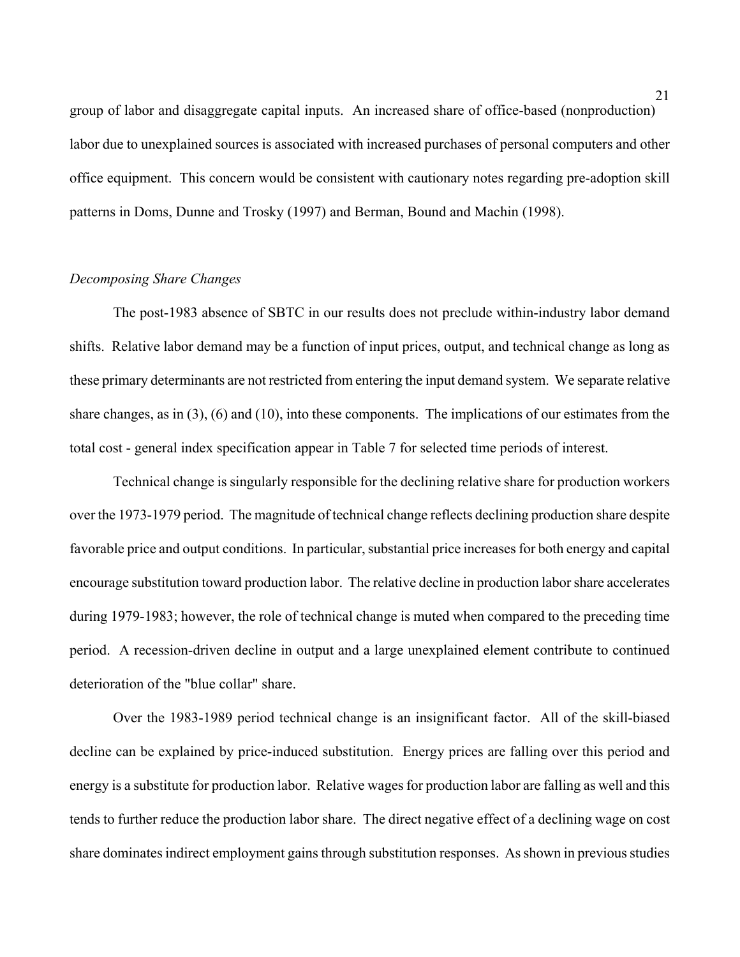group of labor and disaggregate capital inputs. An increased share of office-based (nonproduction) labor due to unexplained sources is associated with increased purchases of personal computers and other office equipment. This concern would be consistent with cautionary notes regarding pre-adoption skill patterns in Doms, Dunne and Trosky (1997) and Berman, Bound and Machin (1998).

#### *Decomposing Share Changes*

The post-1983 absence of SBTC in our results does not preclude within-industry labor demand shifts. Relative labor demand may be a function of input prices, output, and technical change as long as these primary determinants are not restricted from entering the input demand system. We separate relative share changes, as in (3), (6) and (10), into these components. The implications of our estimates from the total cost - general index specification appear in Table 7 for selected time periods of interest.

 Technical change is singularly responsible for the declining relative share for production workers over the 1973-1979 period. The magnitude of technical change reflects declining production share despite favorable price and output conditions. In particular, substantial price increases for both energy and capital encourage substitution toward production labor. The relative decline in production labor share accelerates during 1979-1983; however, the role of technical change is muted when compared to the preceding time period. A recession-driven decline in output and a large unexplained element contribute to continued deterioration of the "blue collar" share.

Over the 1983-1989 period technical change is an insignificant factor. All of the skill-biased decline can be explained by price-induced substitution. Energy prices are falling over this period and energy is a substitute for production labor. Relative wages for production labor are falling as well and this tends to further reduce the production labor share. The direct negative effect of a declining wage on cost share dominates indirect employment gains through substitution responses. As shown in previous studies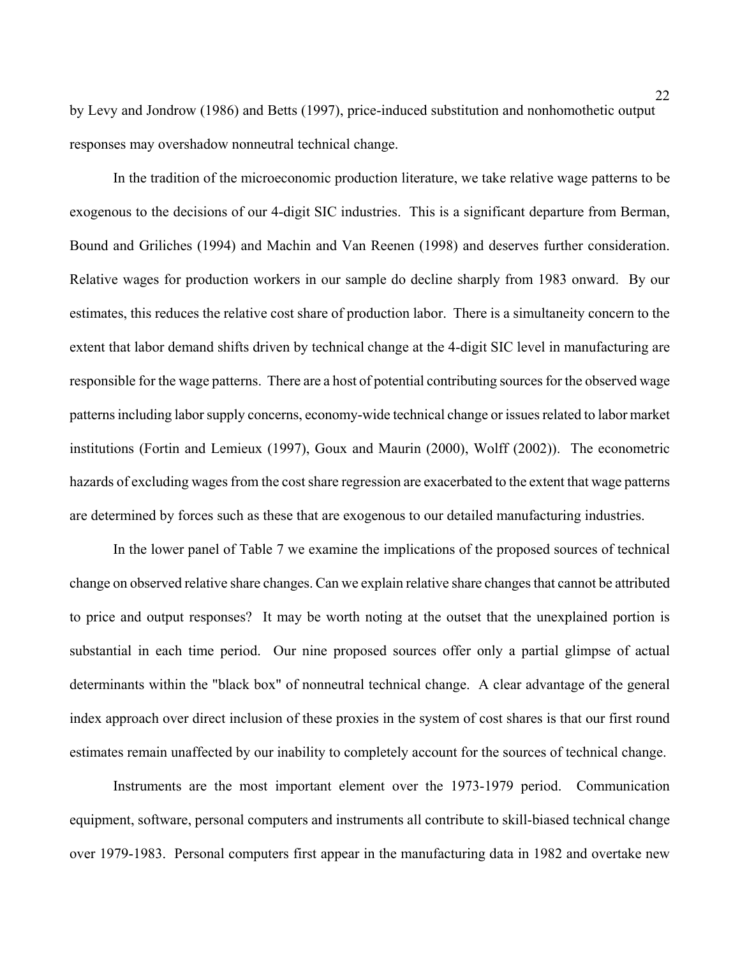by Levy and Jondrow (1986) and Betts (1997), price-induced substitution and nonhomothetic output responses may overshadow nonneutral technical change.

In the tradition of the microeconomic production literature, we take relative wage patterns to be exogenous to the decisions of our 4-digit SIC industries. This is a significant departure from Berman, Bound and Griliches (1994) and Machin and Van Reenen (1998) and deserves further consideration. Relative wages for production workers in our sample do decline sharply from 1983 onward. By our estimates, this reduces the relative cost share of production labor. There is a simultaneity concern to the extent that labor demand shifts driven by technical change at the 4-digit SIC level in manufacturing are responsible for the wage patterns. There are a host of potential contributing sources for the observed wage patterns including labor supply concerns, economy-wide technical change or issues related to labor market institutions (Fortin and Lemieux (1997), Goux and Maurin (2000), Wolff (2002)). The econometric hazards of excluding wages from the cost share regression are exacerbated to the extent that wage patterns are determined by forces such as these that are exogenous to our detailed manufacturing industries.

In the lower panel of Table 7 we examine the implications of the proposed sources of technical change on observed relative share changes. Can we explain relative share changes that cannot be attributed to price and output responses? It may be worth noting at the outset that the unexplained portion is substantial in each time period. Our nine proposed sources offer only a partial glimpse of actual determinants within the "black box" of nonneutral technical change. A clear advantage of the general index approach over direct inclusion of these proxies in the system of cost shares is that our first round estimates remain unaffected by our inability to completely account for the sources of technical change.

Instruments are the most important element over the 1973-1979 period. Communication equipment, software, personal computers and instruments all contribute to skill-biased technical change over 1979-1983. Personal computers first appear in the manufacturing data in 1982 and overtake new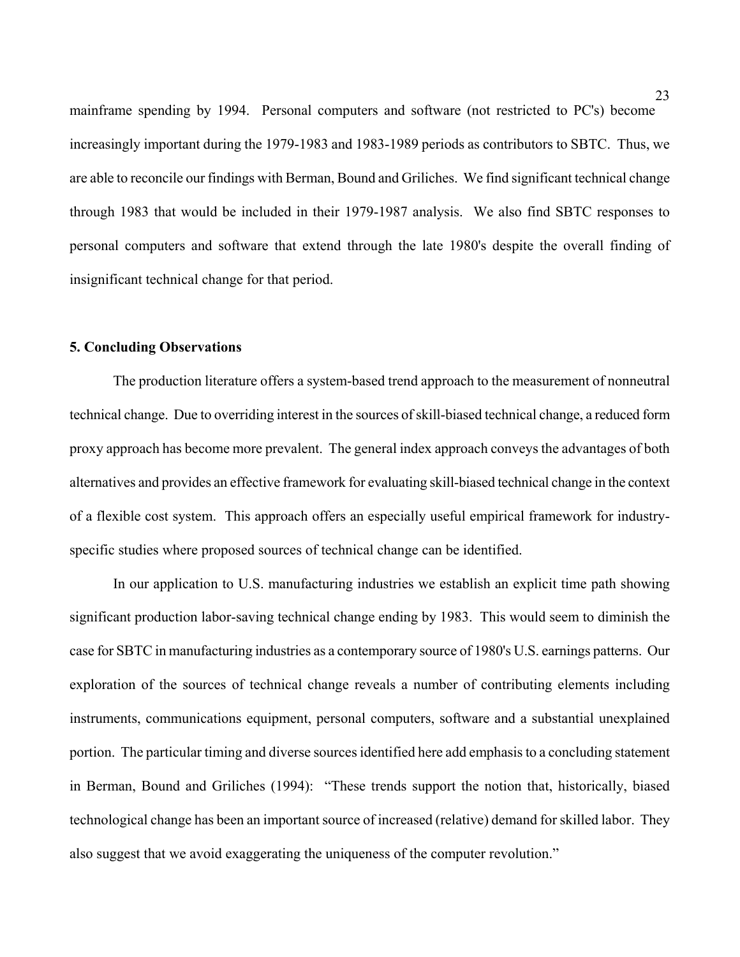mainframe spending by 1994. Personal computers and software (not restricted to PC's) become increasingly important during the 1979-1983 and 1983-1989 periods as contributors to SBTC. Thus, we are able to reconcile our findings with Berman, Bound and Griliches. We find significant technical change through 1983 that would be included in their 1979-1987 analysis. We also find SBTC responses to personal computers and software that extend through the late 1980's despite the overall finding of insignificant technical change for that period.

#### **5. Concluding Observations**

The production literature offers a system-based trend approach to the measurement of nonneutral technical change. Due to overriding interest in the sources of skill-biased technical change, a reduced form proxy approach has become more prevalent. The general index approach conveys the advantages of both alternatives and provides an effective framework for evaluating skill-biased technical change in the context of a flexible cost system. This approach offers an especially useful empirical framework for industryspecific studies where proposed sources of technical change can be identified.

In our application to U.S. manufacturing industries we establish an explicit time path showing significant production labor-saving technical change ending by 1983. This would seem to diminish the case for SBTC in manufacturing industries as a contemporary source of 1980's U.S. earnings patterns. Our exploration of the sources of technical change reveals a number of contributing elements including instruments, communications equipment, personal computers, software and a substantial unexplained portion. The particular timing and diverse sources identified here add emphasis to a concluding statement in Berman, Bound and Griliches (1994): "These trends support the notion that, historically, biased technological change has been an important source of increased (relative) demand for skilled labor. They also suggest that we avoid exaggerating the uniqueness of the computer revolution."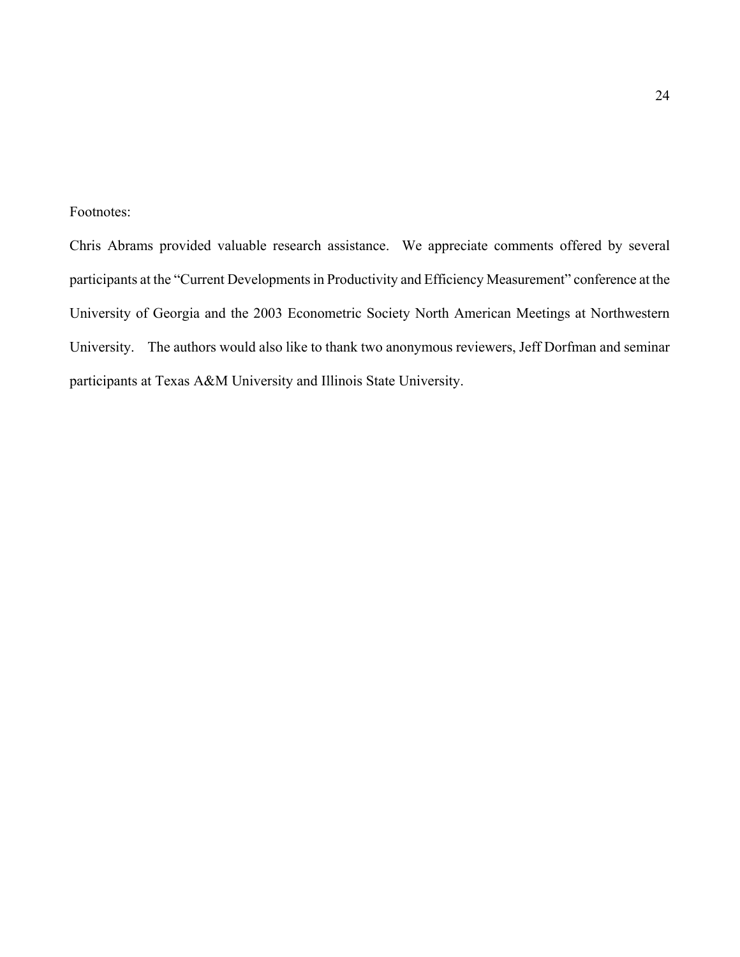#### Footnotes:

Chris Abrams provided valuable research assistance. We appreciate comments offered by several participants at the "Current Developments in Productivity and Efficiency Measurement" conference at the University of Georgia and the 2003 Econometric Society North American Meetings at Northwestern University. The authors would also like to thank two anonymous reviewers, Jeff Dorfman and seminar participants at Texas A&M University and Illinois State University.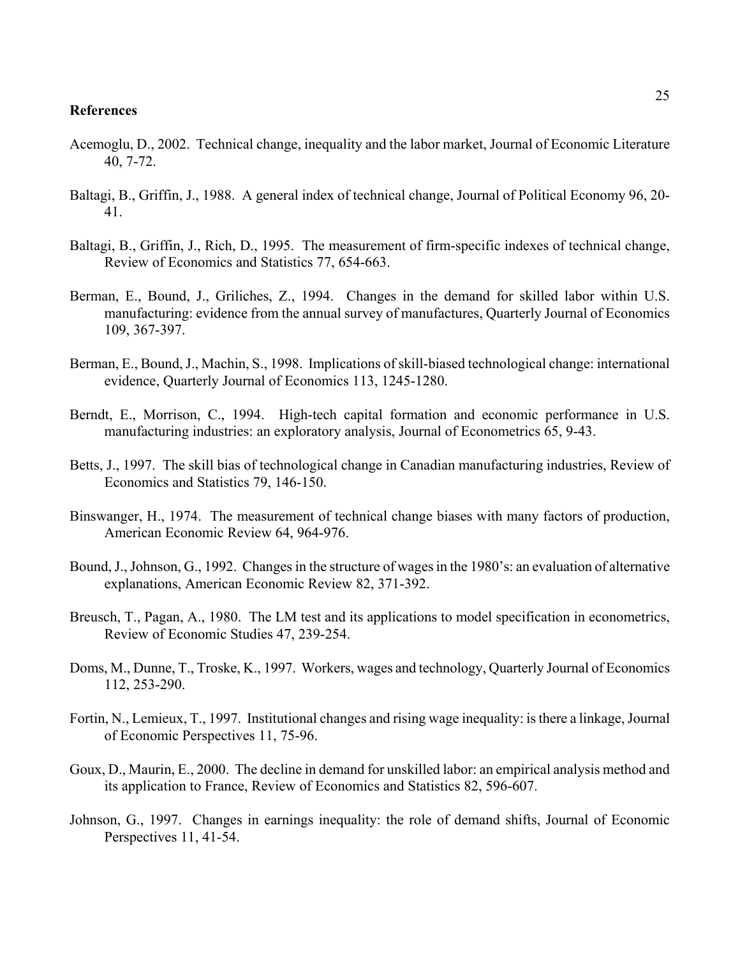#### **References**

- Acemoglu, D., 2002. Technical change, inequality and the labor market, Journal of Economic Literature 40, 7-72.
- Baltagi, B., Griffin, J., 1988. A general index of technical change, Journal of Political Economy 96, 20- 41.
- Baltagi, B., Griffin, J., Rich, D., 1995. The measurement of firm-specific indexes of technical change, Review of Economics and Statistics 77, 654-663.
- Berman, E., Bound, J., Griliches, Z., 1994. Changes in the demand for skilled labor within U.S. manufacturing: evidence from the annual survey of manufactures, Quarterly Journal of Economics 109, 367-397.
- Berman, E., Bound, J., Machin, S., 1998. Implications of skill-biased technological change: international evidence, Quarterly Journal of Economics 113, 1245-1280.
- Berndt, E., Morrison, C., 1994. High-tech capital formation and economic performance in U.S. manufacturing industries: an exploratory analysis, Journal of Econometrics 65, 9-43.
- Betts, J., 1997. The skill bias of technological change in Canadian manufacturing industries, Review of Economics and Statistics 79, 146-150.
- Binswanger, H., 1974. The measurement of technical change biases with many factors of production, American Economic Review 64, 964-976.
- Bound, J., Johnson, G., 1992. Changes in the structure of wages in the 1980's: an evaluation of alternative explanations, American Economic Review 82, 371-392.
- Breusch, T., Pagan, A., 1980. The LM test and its applications to model specification in econometrics, Review of Economic Studies 47, 239-254.
- Doms, M., Dunne, T., Troske, K., 1997. Workers, wages and technology, Quarterly Journal of Economics 112, 253-290.
- Fortin, N., Lemieux, T., 1997. Institutional changes and rising wage inequality: is there a linkage, Journal of Economic Perspectives 11, 75-96.
- Goux, D., Maurin, E., 2000. The decline in demand for unskilled labor: an empirical analysis method and its application to France, Review of Economics and Statistics 82, 596-607.
- Johnson, G., 1997. Changes in earnings inequality: the role of demand shifts, Journal of Economic Perspectives 11, 41-54.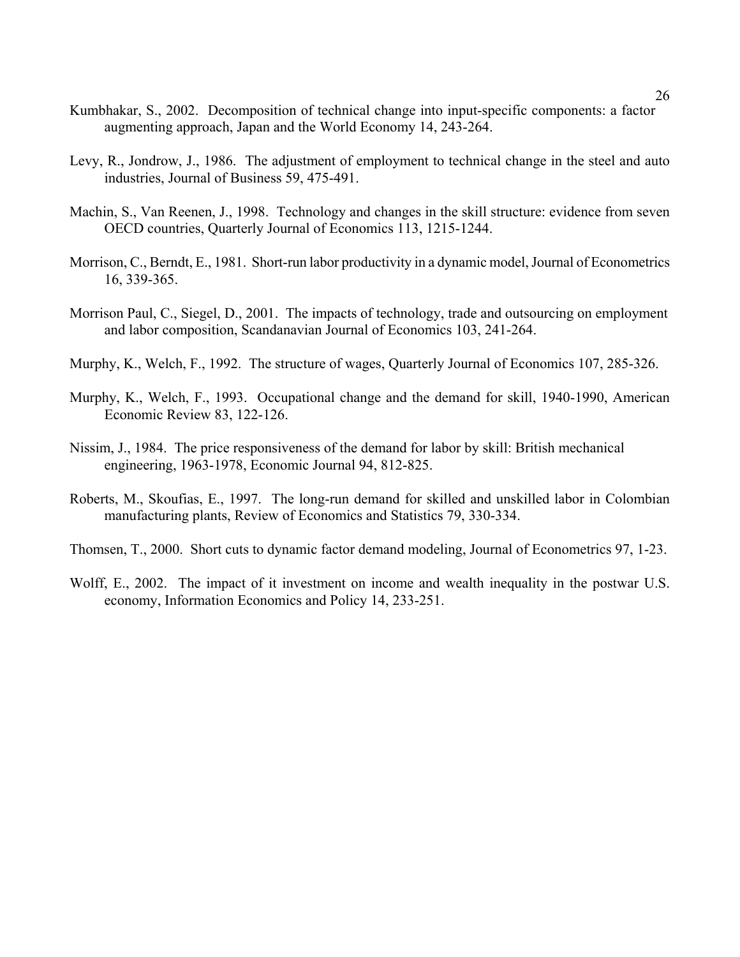- Kumbhakar, S., 2002. Decomposition of technical change into input-specific components: a factor augmenting approach, Japan and the World Economy 14, 243-264.
- Levy, R., Jondrow, J., 1986. The adjustment of employment to technical change in the steel and auto industries, Journal of Business 59, 475-491.
- Machin, S., Van Reenen, J., 1998. Technology and changes in the skill structure: evidence from seven OECD countries, Quarterly Journal of Economics 113, 1215-1244.
- Morrison, C., Berndt, E., 1981. Short-run labor productivity in a dynamic model, Journal of Econometrics 16, 339-365.
- Morrison Paul, C., Siegel, D., 2001. The impacts of technology, trade and outsourcing on employment and labor composition, Scandanavian Journal of Economics 103, 241-264.
- Murphy, K., Welch, F., 1992. The structure of wages, Quarterly Journal of Economics 107, 285-326.
- Murphy, K., Welch, F., 1993. Occupational change and the demand for skill, 1940-1990, American Economic Review 83, 122-126.
- Nissim, J., 1984. The price responsiveness of the demand for labor by skill: British mechanical engineering, 1963-1978, Economic Journal 94, 812-825.
- Roberts, M., Skoufias, E., 1997. The long-run demand for skilled and unskilled labor in Colombian manufacturing plants, Review of Economics and Statistics 79, 330-334.
- Thomsen, T., 2000. Short cuts to dynamic factor demand modeling, Journal of Econometrics 97, 1-23.
- Wolff, E., 2002. The impact of it investment on income and wealth inequality in the postwar U.S. economy, Information Economics and Policy 14, 233-251.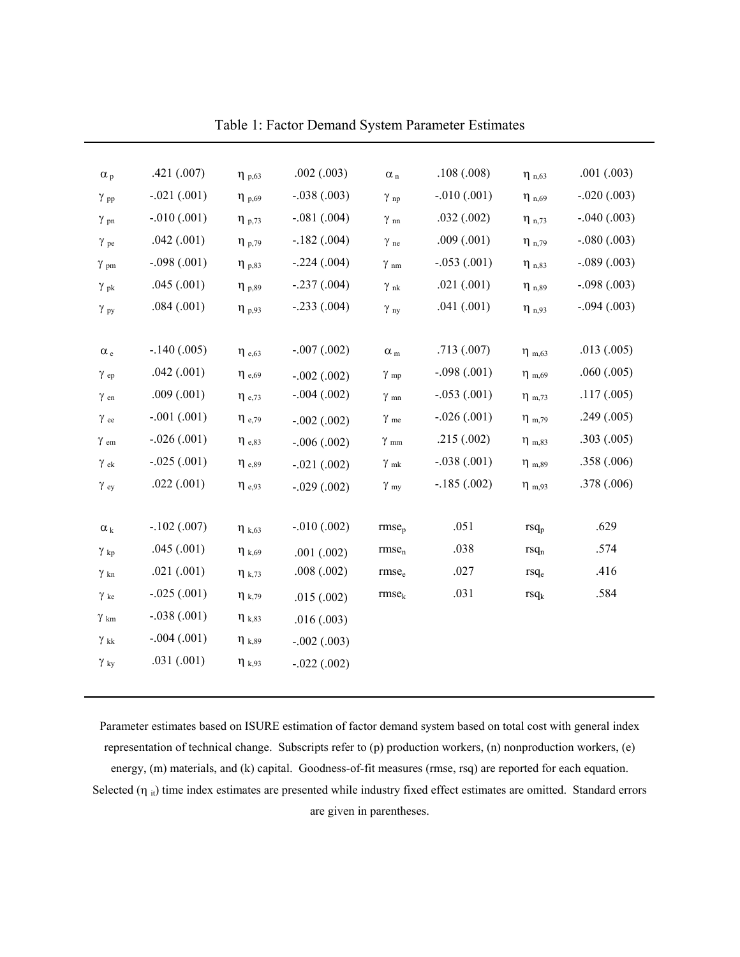| $\alpha_p$             | .421(.007)    | $\eta_{p,63}$          | .002(.003)      | $\alpha_n$             | .108(.008)    | $\eta_{n,63}$          | .001(.003)    |
|------------------------|---------------|------------------------|-----------------|------------------------|---------------|------------------------|---------------|
| $\gamma$ <sub>pp</sub> | $-.021(.001)$ | $\eta_{p,69}$          | $-.038(.003)$   | $\gamma$ <sub>np</sub> | $-.010(.001)$ | $\eta_{n,69}$          | $-.020(.003)$ |
| $\gamma$ <sub>pn</sub> | $-.010(.001)$ | $\eta_{p,73}$          | $-.081(.004)$   | $\gamma$ nn            | .032(.002)    | $\eta_{n,73}$          | $-.040(.003)$ |
| $\gamma$ pe            | .042(.001)    | $\eta_{p,79}$          | $-.182(.004)$   | $\gamma$ ne            | .009(.001)    | $\eta_{n,79}$          | $-.080(.003)$ |
| $\gamma$ <sub>pm</sub> | $-.098(.001)$ | $\eta_{p,83}$          | $-.224(.004)$   | $\gamma$ <sub>nm</sub> | $-.053(.001)$ | $\eta_{n,83}$          | $-.089(.003)$ |
| $\gamma_{pk}$          | .045(.001)    | $\eta_{p,89}$          | $-.237(.004)$   | $\gamma$ nk            | .021(.001)    | $\eta_{n,89}$          | $-.098(.003)$ |
| $\gamma$ py            | .084(.001)    | $\eta_{p,93}$          | $-.233(.004)$   | $\gamma$ <sub>ny</sub> | .041(.001)    | $\eta_{n,93}$          | $-.094(.003)$ |
|                        |               |                        |                 |                        |               |                        |               |
| $\alpha_{\,\rm e}$     | $-.140(.005)$ | $\eta$ <sub>e,63</sub> | $-.007(.002)$   | $\alpha_m$             | .713(.007)    | $\eta$ <sub>m,63</sub> | .013(.005)    |
| $\gamma$ <sub>ep</sub> | .042(.001)    | $\eta$ <sub>e,69</sub> | $-.002(.002)$   | $\gamma$ <sub>mp</sub> | $-.098(.001)$ | $\eta_{m,69}$          | .060(.005)    |
| $\gamma$ <sub>en</sub> | .009(.001)    | $\eta$ <sub>e,73</sub> | $-.004(.002)$   | $\gamma$ <sub>mn</sub> | $-.053(.001)$ | $\eta$ <sub>m,73</sub> | .117(.005)    |
| $\gamma$ ee            | $-.001(.001)$ | $\eta$ <sub>e,79</sub> | $-.002(.002)$   | $\gamma$ me            | $-.026(.001)$ | $\eta$ <sub>m,79</sub> | .249(.005)    |
| $\gamma$ em            | $-.026(.001)$ | $\eta$ <sub>e,83</sub> | $-.006(.002)$   | $\gamma$ mm            | .215(.002)    | $\eta_{m,83}$          | .303(.005)    |
| $\gamma$ ek            | $-.025(.001)$ | $\eta$ <sub>e,89</sub> | $-.021(.002)$   | $\gamma$ mk            | $-.038(.001)$ | $\eta_{m,89}$          | .358(.006)    |
| $\gamma$ ey            | .022(.001)    | $\eta$ <sub>e,93</sub> | $-.029(.002)$   | $\gamma$ <sub>my</sub> | $-.185(.002)$ | $\eta_{m,93}$          | .378(.006)    |
|                        |               |                        |                 |                        |               |                        |               |
| $\alpha_k$             | $-.102(.007)$ | $\eta_{k,63}$          | $-0.010(0.002)$ | rmse <sub>p</sub>      | .051          | $rsq_p$                | .629          |
| $\gamma$ $_{\rm kp}$   | .045(.001)    | $\eta_{k,69}$          | .001(.002)      | rmse <sub>n</sub>      | .038          | rsq <sub>n</sub>       | .574          |
| $\gamma$ kn            | .021(.001)    | $\eta_{k,73}$          | .008(.002)      | rmse <sub>e</sub>      | .027          | rsq <sub>e</sub>       | .416          |
| $\gamma$ ke            | $-.025(.001)$ | $\eta_{k,79}$          | .015(.002)      | rmse <sub>k</sub>      | .031          | $rsq_k$                | .584          |
| $\gamma$ km            | $-.038(.001)$ | $\eta_{k,83}$          | .016(.003)      |                        |               |                        |               |
| $\gamma$ kk            | $-.004(.001)$ | $\eta_{k,89}$          | $-.002(.003)$   |                        |               |                        |               |
| $\gamma_{\rm ky}$      | .031(.001)    | $\eta_{k,93}$          | $-.022(.002)$   |                        |               |                        |               |
|                        |               |                        |                 |                        |               |                        |               |

Table 1: Factor Demand System Parameter Estimates

Parameter estimates based on ISURE estimation of factor demand system based on total cost with general index representation of technical change. Subscripts refer to (p) production workers, (n) nonproduction workers, (e) energy, (m) materials, and (k) capital. Goodness-of-fit measures (rmse, rsq) are reported for each equation. Selected  $(\eta_{it})$  time index estimates are presented while industry fixed effect estimates are omitted. Standard errors are given in parentheses.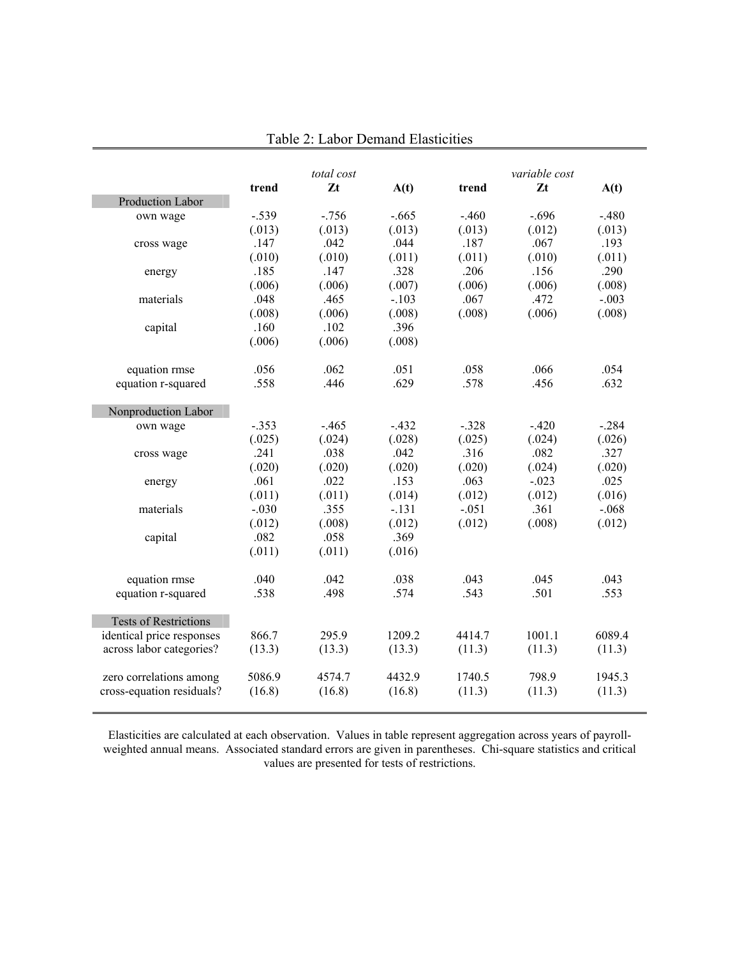|                              |         | total cost |         |         | variable cost |         |
|------------------------------|---------|------------|---------|---------|---------------|---------|
|                              | trend   | Zt         | A(t)    | trend   | Zt            | A(t)    |
| <b>Production Labor</b>      |         |            |         |         |               |         |
| own wage                     | $-.539$ | $-756$     | $-.665$ | $-.460$ | $-.696$       | $-.480$ |
|                              | (.013)  | (.013)     | (.013)  | (.013)  | (.012)        | (.013)  |
| cross wage                   | .147    | .042       | .044    | .187    | .067          | .193    |
|                              | (.010)  | (.010)     | (.011)  | (.011)  | (.010)        | (.011)  |
| energy                       | .185    | .147       | .328    | .206    | .156          | .290    |
|                              | (.006)  | (.006)     | (.007)  | (.006)  | (.006)        | (.008)  |
| materials                    | .048    | .465       | $-.103$ | .067    | .472          | $-.003$ |
|                              | (.008)  | (.006)     | (.008)  | (.008)  | (.006)        | (.008)  |
| capital                      | .160    | .102       | .396    |         |               |         |
|                              | (.006)  | (.006)     | (.008)  |         |               |         |
| equation rmse                | .056    | .062       | .051    | .058    | .066          | .054    |
| equation r-squared           | .558    | .446       | .629    | .578    | .456          | .632    |
| Nonproduction Labor          |         |            |         |         |               |         |
| own wage                     | $-.353$ | $-.465$    | $-.432$ | $-.328$ | $-.420$       | $-.284$ |
|                              | (.025)  | (.024)     | (.028)  | (.025)  | (.024)        | (.026)  |
| cross wage                   | .241    | .038       | .042    | .316    | .082          | .327    |
|                              | (.020)  | (.020)     | (.020)  | (.020)  | (.024)        | (.020)  |
| energy                       | .061    | .022       | .153    | .063    | $-.023$       | .025    |
|                              | (.011)  | (.011)     | (.014)  | (.012)  | (.012)        | (.016)  |
| materials                    | $-.030$ | .355       | $-.131$ | $-.051$ | .361          | $-.068$ |
|                              | (.012)  | (.008)     | (.012)  | (.012)  | (.008)        | (.012)  |
| capital                      | .082    | .058       | .369    |         |               |         |
|                              | (.011)  | (.011)     | (.016)  |         |               |         |
| equation rmse                | .040    | .042       | .038    | .043    | .045          | .043    |
| equation r-squared           | .538    | .498       | .574    | .543    | .501          | .553    |
| <b>Tests of Restrictions</b> |         |            |         |         |               |         |
| identical price responses    | 866.7   | 295.9      | 1209.2  | 4414.7  | 1001.1        | 6089.4  |
| across labor categories?     | (13.3)  | (13.3)     | (13.3)  | (11.3)  | (11.3)        | (11.3)  |
| zero correlations among      | 5086.9  | 4574.7     | 4432.9  | 1740.5  | 798.9         | 1945.3  |
| cross-equation residuals?    | (16.8)  | (16.8)     | (16.8)  | (11.3)  | (11.3)        | (11.3)  |

Table 2: Labor Demand Elasticities

Elasticities are calculated at each observation. Values in table represent aggregation across years of payrollweighted annual means. Associated standard errors are given in parentheses. Chi-square statistics and critical values are presented for tests of restrictions.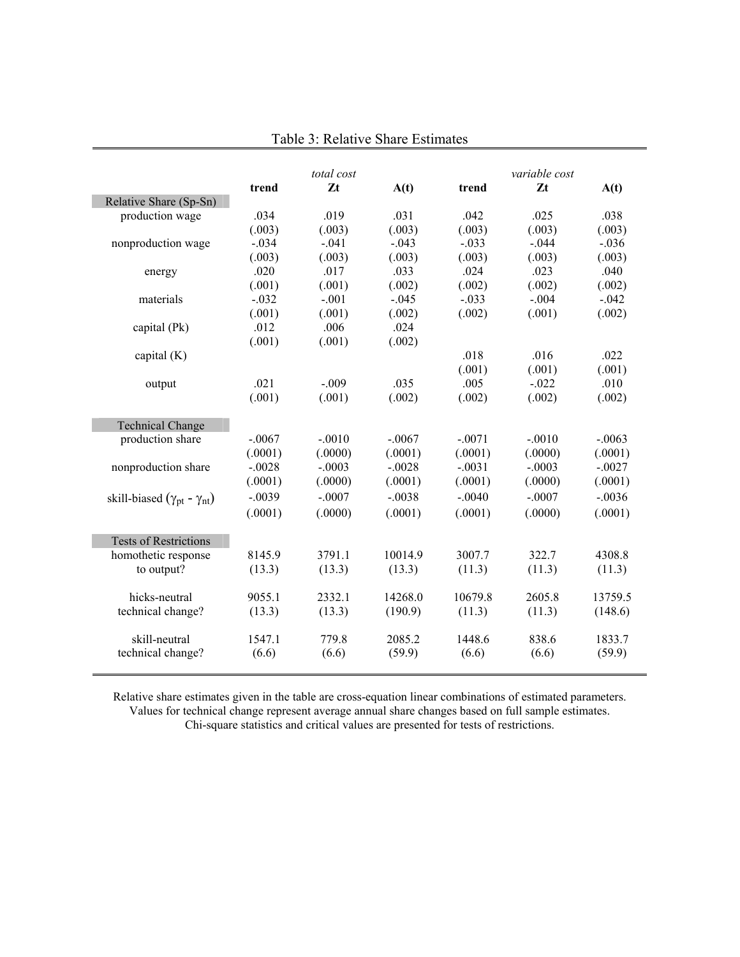|                                                |          | total cost |          |          | variable cost |          |
|------------------------------------------------|----------|------------|----------|----------|---------------|----------|
|                                                | trend    | Zt         | A(t)     | trend    | $Z_t$         | A(t)     |
| Relative Share (Sp-Sn)                         |          |            |          |          |               |          |
| production wage                                | .034     | .019       | .031     | .042     | .025          | .038     |
|                                                | (.003)   | (.003)     | (.003)   | (.003)   | (.003)        | (.003)   |
| nonproduction wage                             | $-.034$  | $-.041$    | $-.043$  | $-.033$  | $-.044$       | $-.036$  |
|                                                | (.003)   | (.003)     | (.003)   | (.003)   | (.003)        | (.003)   |
| energy                                         | .020     | .017       | .033     | .024     | .023          | .040     |
|                                                | (.001)   | (.001)     | (.002)   | (.002)   | (.002)        | (.002)   |
| materials                                      | $-.032$  | $-.001$    | $-.045$  | $-.033$  | $-.004$       | $-.042$  |
|                                                | (.001)   | (.001)     | (.002)   | (.002)   | (.001)        | (.002)   |
| capital (Pk)                                   | .012     | .006       | .024     |          |               |          |
|                                                | (.001)   | (.001)     | (.002)   |          |               |          |
| capital $(K)$                                  |          |            |          | .018     | .016          | .022     |
|                                                |          |            |          | (.001)   | (.001)        | (.001)   |
| output                                         | .021     | $-.009$    | .035     | .005     | $-0.022$      | .010     |
|                                                | (.001)   | (.001)     | (.002)   | (.002)   | (.002)        | (.002)   |
|                                                |          |            |          |          |               |          |
| <b>Technical Change</b>                        |          |            |          |          |               |          |
| production share                               | $-.0067$ | $-.0010$   | $-.0067$ | $-.0071$ | $-.0010$      | $-.0063$ |
|                                                | (.0001)  | (.0000)    | (.0001)  | (.0001)  | (.0000)       | (.0001)  |
| nonproduction share                            | $-.0028$ | $-.0003$   | $-.0028$ | $-.0031$ | $-.0003$      | $-.0027$ |
|                                                | (.0001)  | (.0000)    | (.0001)  | (.0001)  | (.0000)       | (.0001)  |
| skill-biased ( $\gamma_{pt}$ - $\gamma_{nt}$ ) | $-.0039$ | $-.0007$   | $-.0038$ | $-.0040$ | $-.0007$      | $-.0036$ |
|                                                | (.0001)  | (.0000)    | (.0001)  | (.0001)  | (.0000)       | (.0001)  |
|                                                |          |            |          |          |               |          |
| <b>Tests of Restrictions</b>                   |          |            |          |          |               |          |
| homothetic response                            | 8145.9   | 3791.1     | 10014.9  | 3007.7   | 322.7         | 4308.8   |
| to output?                                     | (13.3)   | (13.3)     | (13.3)   | (11.3)   | (11.3)        | (11.3)   |
|                                                |          |            |          |          |               |          |
| hicks-neutral                                  | 9055.1   | 2332.1     | 14268.0  | 10679.8  | 2605.8        | 13759.5  |
| technical change?                              | (13.3)   | (13.3)     | (190.9)  | (11.3)   | (11.3)        | (148.6)  |
|                                                |          |            |          |          |               |          |
| skill-neutral                                  | 1547.1   | 779.8      | 2085.2   | 1448.6   | 838.6         | 1833.7   |
| technical change?                              | (6.6)    | (6.6)      | (59.9)   | (6.6)    | (6.6)         | (59.9)   |
|                                                |          |            |          |          |               |          |

Table 3: Relative Share Estimates

Relative share estimates given in the table are cross-equation linear combinations of estimated parameters. Values for technical change represent average annual share changes based on full sample estimates. Chi-square statistics and critical values are presented for tests of restrictions.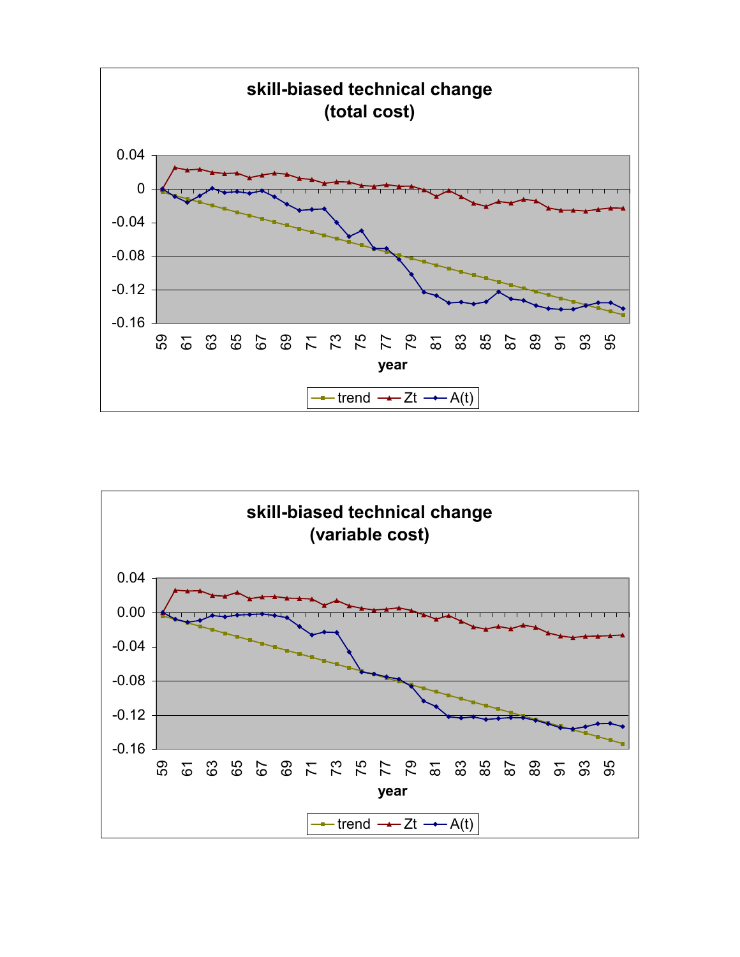

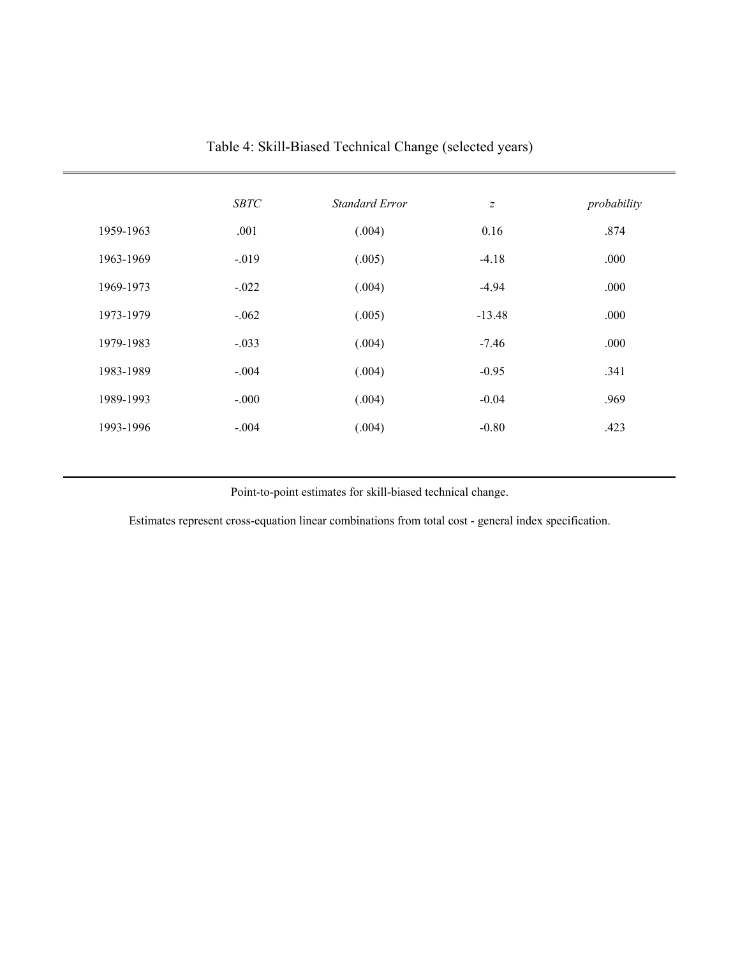|           | <b>SBTC</b> | <b>Standard Error</b> | $\boldsymbol{Z}$ | probability |
|-----------|-------------|-----------------------|------------------|-------------|
| 1959-1963 | .001        | (.004)                | 0.16             | .874        |
| 1963-1969 | $-.019$     | (.005)                | $-4.18$          | .000        |
| 1969-1973 | $-.022$     | (.004)                | $-4.94$          | .000        |
| 1973-1979 | $-.062$     | (.005)                | $-13.48$         | .000        |
| 1979-1983 | $-.033$     | (.004)                | $-7.46$          | .000        |
| 1983-1989 | $-.004$     | (.004)                | $-0.95$          | .341        |
| 1989-1993 | $-.000$     | (.004)                | $-0.04$          | .969        |
| 1993-1996 | $-.004$     | (.004)                | $-0.80$          | .423        |
|           |             |                       |                  |             |

Table 4: Skill-Biased Technical Change (selected years)

Point-to-point estimates for skill-biased technical change.

Estimates represent cross-equation linear combinations from total cost - general index specification.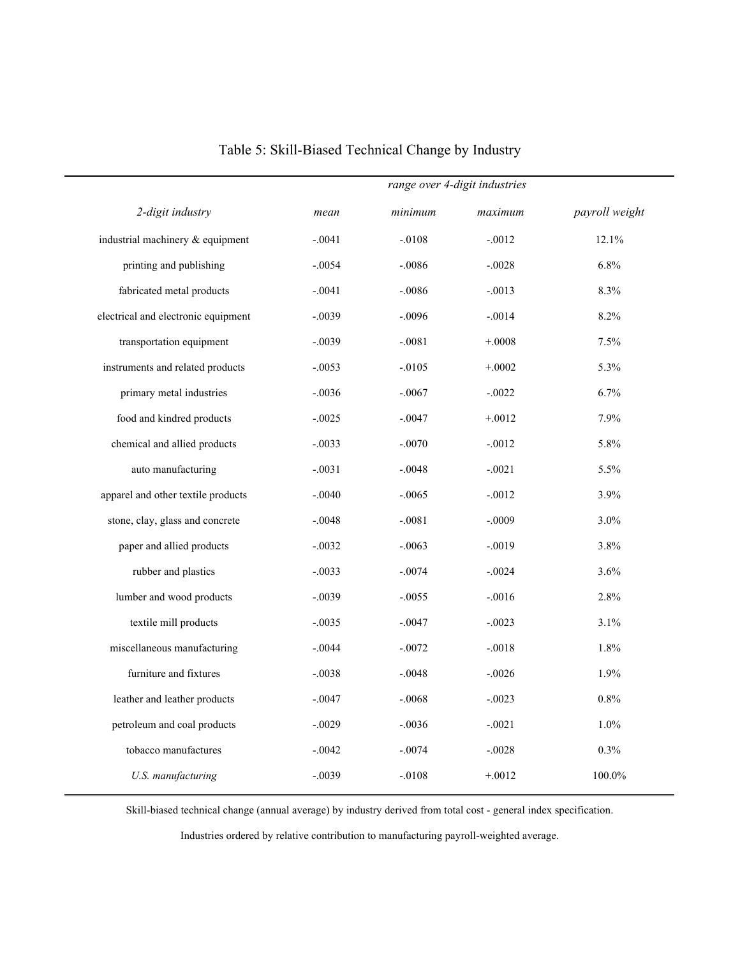| mean     | minimum  | maximum  | payroll weight                |
|----------|----------|----------|-------------------------------|
| $-.0041$ | $-.0108$ | $-.0012$ | 12.1%                         |
| $-.0054$ | $-.0086$ | $-.0028$ | 6.8%                          |
| $-.0041$ | $-.0086$ | $-.0013$ | 8.3%                          |
| $-.0039$ | $-.0096$ | $-.0014$ | 8.2%                          |
| $-.0039$ | $-.0081$ | $+.0008$ | 7.5%                          |
| $-.0053$ | $-.0105$ | $+.0002$ | 5.3%                          |
| $-.0036$ | $-.0067$ | $-.0022$ | 6.7%                          |
| $-.0025$ | $-.0047$ | $+.0012$ | 7.9%                          |
| $-.0033$ | $-.0070$ | $-.0012$ | 5.8%                          |
| $-.0031$ | $-.0048$ | $-.0021$ | 5.5%                          |
| $-.0040$ | $-.0065$ | $-.0012$ | 3.9%                          |
| $-.0048$ | $-.0081$ | $-.0009$ | $3.0\%$                       |
| $-.0032$ | $-.0063$ | $-.0019$ | 3.8%                          |
| $-.0033$ | $-.0074$ | $-.0024$ | 3.6%                          |
| $-.0039$ | $-.0055$ | $-.0016$ | 2.8%                          |
| $-.0035$ | $-.0047$ | $-.0023$ | 3.1%                          |
| $-.0044$ | $-.0072$ | $-.0018$ | 1.8%                          |
| $-.0038$ | $-.0048$ | $-.0026$ | 1.9%                          |
| $-.0047$ | $-.0068$ | $-.0023$ | 0.8%                          |
| $-.0029$ | $-.0036$ | $-.0021$ | 1.0%                          |
| $-.0042$ | $-.0074$ | $-.0028$ | 0.3%                          |
| $-.0039$ | $-.0108$ | $+.0012$ | 100.0%                        |
|          |          |          | range over 4-digit industries |

Table 5: Skill-Biased Technical Change by Industry

Skill-biased technical change (annual average) by industry derived from total cost - general index specification.

Industries ordered by relative contribution to manufacturing payroll-weighted average.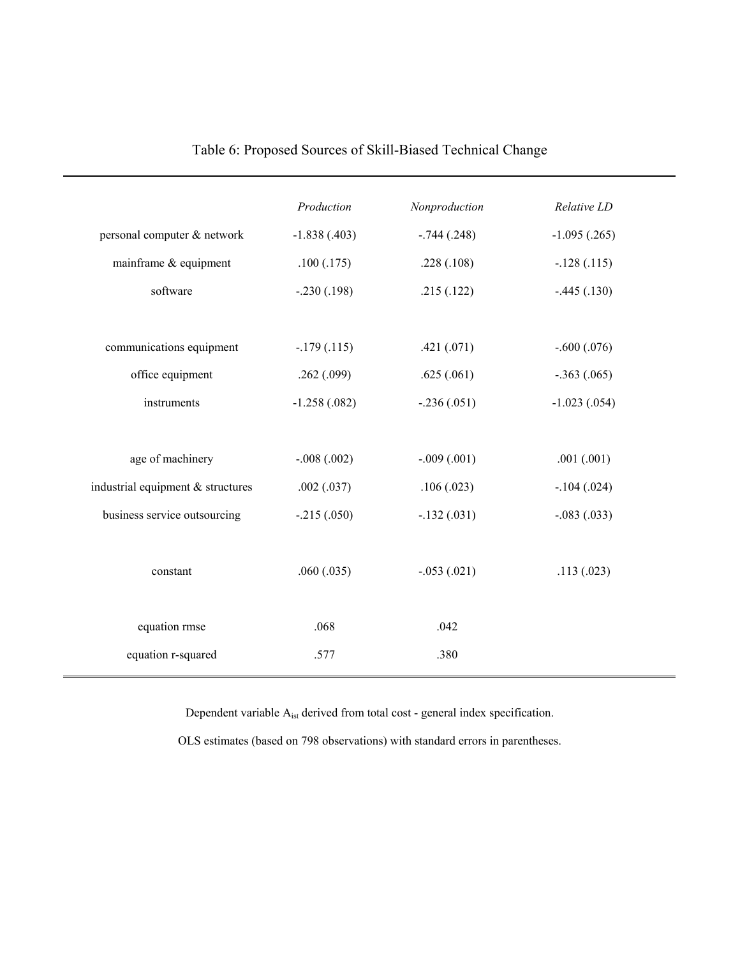|                                   | Production     | Nonproduction | Relative LD     |  |
|-----------------------------------|----------------|---------------|-----------------|--|
| personal computer & network       | $-1.838(.403)$ | $-.744(.248)$ | $-1.095(.265)$  |  |
| mainframe & equipment             | .100(.175)     | .228(.108)    | $-.128(.115)$   |  |
| software                          | $-.230(.198)$  | .215(.122)    | $-.445(.130)$   |  |
|                                   |                |               |                 |  |
| communications equipment          | $-179(0.115)$  | .421(.071)    | $-.600(.076)$   |  |
| office equipment                  | .262(.099)     | .625(.061)    | $-.363(.065)$   |  |
| instruments                       | $-1.258(.082)$ | $-.236(.051)$ | $-1.023(0.054)$ |  |
|                                   |                |               |                 |  |
| age of machinery                  | $-.008(.002)$  | $-.009(.001)$ | .001(.001)      |  |
| industrial equipment & structures | .002(.037)     | .106(.023)    | $-.104(.024)$   |  |
| business service outsourcing      | $-.215(.050)$  | $-.132(.031)$ | $-.083(.033)$   |  |
|                                   |                |               |                 |  |
| constant                          | .060(.035)     | $-.053(.021)$ | .113(.023)      |  |
|                                   |                |               |                 |  |
| equation rmse                     | .068           | .042          |                 |  |
| equation r-squared                | .577           | .380          |                 |  |
|                                   |                |               |                 |  |

## Table 6: Proposed Sources of Skill-Biased Technical Change

Dependent variable  $A_{\rm ist}$  derived from total cost - general index specification.

OLS estimates (based on 798 observations) with standard errors in parentheses.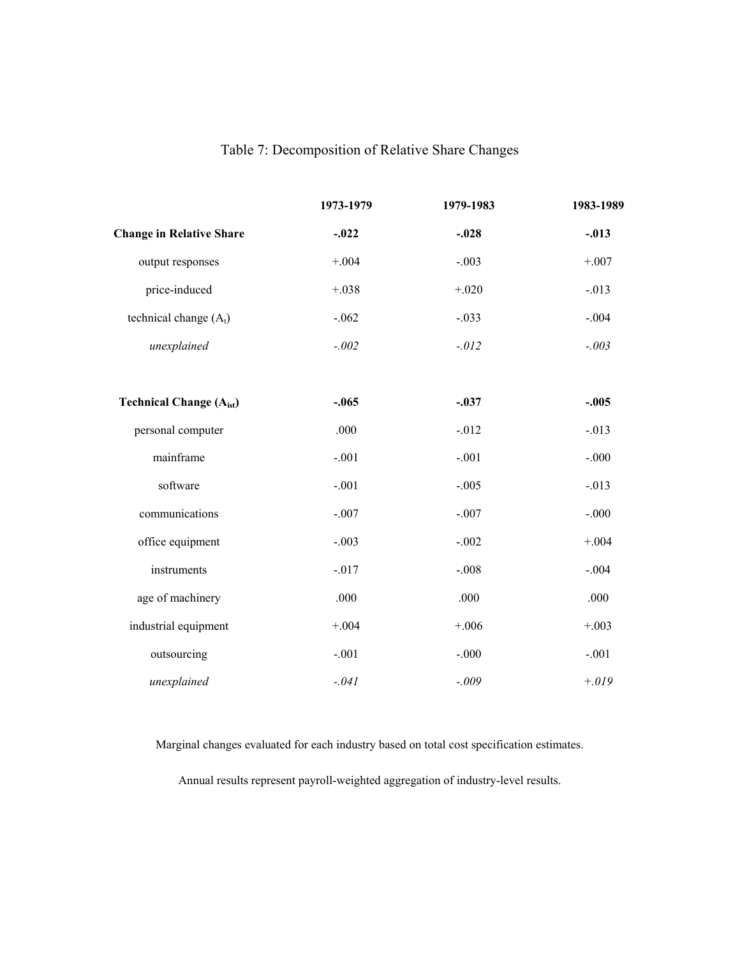## Table 7: Decomposition of Relative Share Changes

|                                 | 1973-1979 | 1979-1983 | 1983-1989 |
|---------------------------------|-----------|-----------|-----------|
| <b>Change in Relative Share</b> | $-.022$   | $-.028$   | $-.013$   |
| output responses                | $+.004$   | $-.003$   | $+.007$   |
| price-induced                   | $+.038$   | $+.020$   | $-.013$   |
| technical change $(A_t)$        | $-.062$   | $-.033$   | $-.004$   |
| unexplained                     | $-.002$   | $-.012$   | $-.003$   |
|                                 |           |           |           |
| <b>Technical Change (Aist)</b>  | $-.065$   | $-.037$   | $-.005$   |
| personal computer               | .000      | $-0.012$  | $-.013$   |
| mainframe                       | $-.001$   | $-.001$   | $-.000$   |
| software                        | $-.001$   | $-.005$   | $-.013$   |
| communications                  | $-.007$   | $-.007$   | $-.000$   |
| office equipment                | $-.003$   | $-.002$   | $+.004$   |
| instruments                     | $-.017$   | $-.008$   | $-.004$   |
| age of machinery                | .000      | .000      | .000      |
| industrial equipment            | $+.004$   | $+.006$   | $+.003$   |
| outsourcing                     | $-.001$   | $-.000$   | $-.001$   |
| unexplained                     | $-.041$   | $-.009$   | $+.019$   |

Marginal changes evaluated for each industry based on total cost specification estimates.

Annual results represent payroll-weighted aggregation of industry-level results.